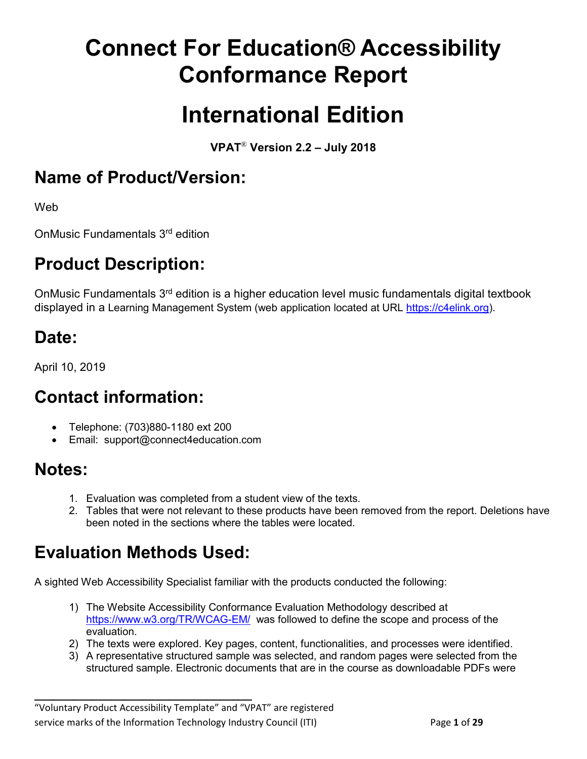# **Connect For Education® Accessibility Conformance Report**

# **International Edition**

**VPAT**® **Version 2.2 – July 2018** 

### **Name of Product/Version:**

Web

OnMusic Fundamentals 3rd edition

# **Product Description:**

OnMusic Fundamentals 3<sup>rd</sup> edition is a higher education level music fundamentals digital textbook displayed in a Learning Management System (web application located at URL https://c4elink.org).

# **Date:**

April 10, 2019

# **Contact information:**

- Telephone: (703)880-1180 ext 200
- Email: support@connect4education.com

#### **Notes:**

- 1. Evaluation was completed from a student view of the texts.
- 2. Tables that were not relevant to these products have been removed from the report. Deletions have been noted in the sections where the tables were located.

# **Evaluation Methods Used:**

**\_\_\_\_\_\_\_\_\_\_\_\_\_\_\_\_\_\_\_\_\_\_\_\_\_\_\_\_\_\_\_\_\_\_**

A sighted Web Accessibility Specialist familiar with the products conducted the following:

- 1) The Website Accessibility Conformance Evaluation Methodology described at <https://www.w3.org/TR/WCAG-EM/>was followed to define the scope and process of the evaluation.
- 2) The texts were explored. Key pages, content, functionalities, and processes were identified.
- 3) A representative structured sample was selected, and random pages were selected from the structured sample. Electronic documents that are in the course as downloadable PDFs were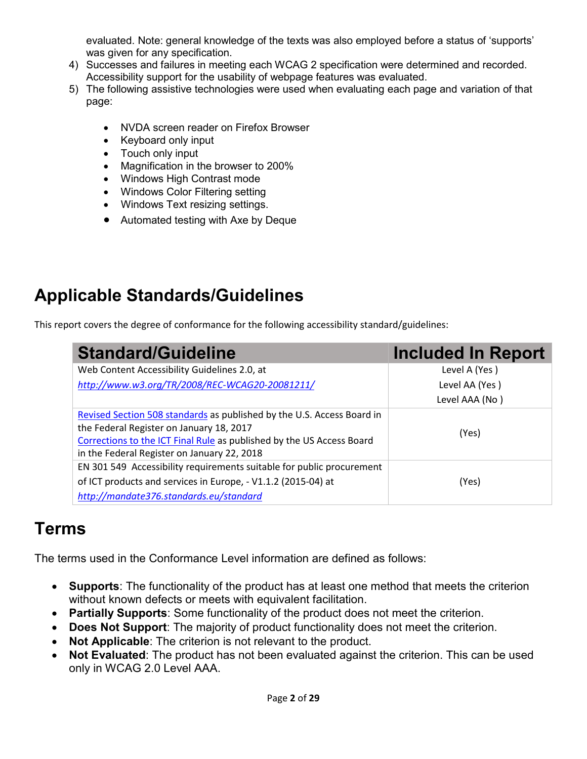evaluated. Note: general knowledge of the texts was also employed before a status of 'supports' was given for any specification.

- 4) Successes and failures in meeting each WCAG 2 specification were determined and recorded. Accessibility support for the usability of webpage features was evaluated.
- 5) The following assistive technologies were used when evaluating each page and variation of that page:
	- NVDA screen reader on Firefox Browser
	- Keyboard only input
	- Touch only input
	- Magnification in the browser to 200%
	- Windows High Contrast mode
	- Windows Color Filtering setting
	- Windows Text resizing settings.
	- Automated testing with Axe by Deque

# **Applicable Standards/Guidelines**

This report covers the degree of conformance for the following accessibility standard/guidelines:

| <b>Standard/Guideline</b>                                                                                                                                                                                                                  | <b>Included In Report</b> |
|--------------------------------------------------------------------------------------------------------------------------------------------------------------------------------------------------------------------------------------------|---------------------------|
| Web Content Accessibility Guidelines 2.0, at                                                                                                                                                                                               | Level A (Yes)             |
| http://www.w3.org/TR/2008/REC-WCAG20-20081211/                                                                                                                                                                                             | Level AA (Yes)            |
|                                                                                                                                                                                                                                            | Level AAA (No)            |
| Revised Section 508 standards as published by the U.S. Access Board in<br>the Federal Register on January 18, 2017<br>Corrections to the ICT Final Rule as published by the US Access Board<br>in the Federal Register on January 22, 2018 | (Yes)                     |
| EN 301 549 Accessibility requirements suitable for public procurement<br>of ICT products and services in Europe, - V1.1.2 (2015-04) at<br>http://mandate376.standards.eu/standard                                                          | (Yes)                     |

#### **Terms**

The terms used in the Conformance Level information are defined as follows:

- **Supports**: The functionality of the product has at least one method that meets the criterion without known defects or meets with equivalent facilitation.
- **Partially Supports**: Some functionality of the product does not meet the criterion.
- **Does Not Support**: The majority of product functionality does not meet the criterion.
- **Not Applicable:** The criterion is not relevant to the product.
- **Not Evaluated:** The product has not been evaluated against the criterion. This can be used only in WCAG 2.0 Level AAA.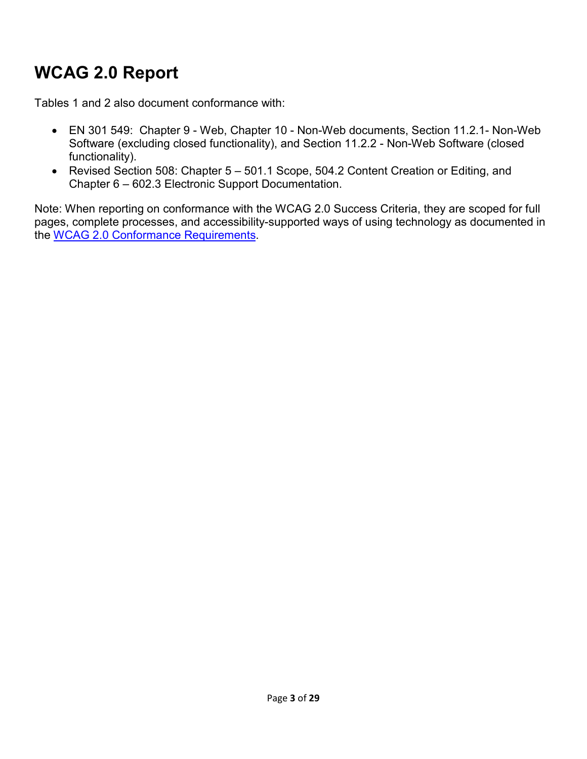# **WCAG 2.0 Report**

Tables 1 and 2 also document conformance with:

- EN 301 549: Chapter 9 Web, Chapter 10 Non-Web documents, Section 11.2.1- Non-Web Software (excluding closed functionality), and Section 11.2.2 - Non-Web Software (closed functionality).
- Revised Section 508: Chapter 5 501.1 Scope, 504.2 Content Creation or Editing, and Chapter 6 – 602.3 Electronic Support Documentation.

Note: When reporting on conformance with the WCAG 2.0 Success Criteria, they are scoped for full pages, complete processes, and accessibility-supported ways of using technology as documented in the [WCAG 2.0 Conformance Requirements.](https://www.w3.org/TR/WCAG20/#conformance-reqs)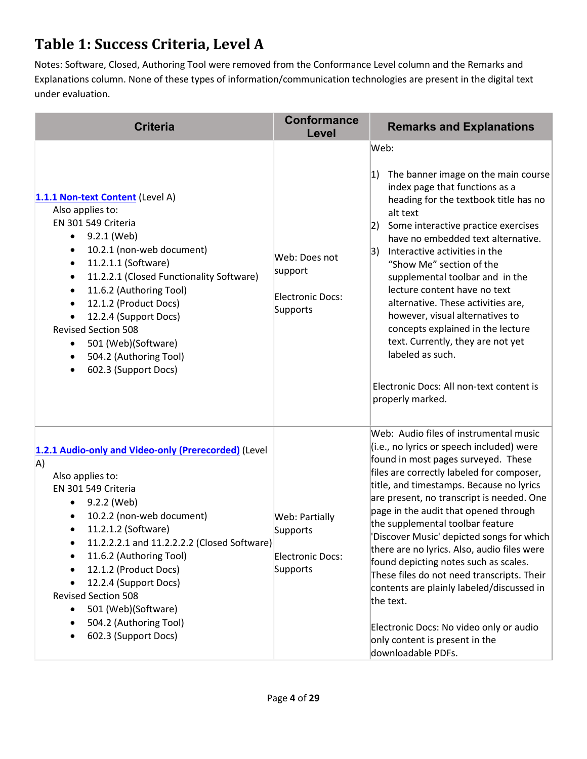### **Table 1: Success Criteria, Level A**

Notes: Software, Closed, Authoring Tool were removed from the Conformance Level column and the Remarks and Explanations column. None of these types of information/communication technologies are present in the digital text under evaluation.

| <b>Criteria</b>                                                                                                                                                                                                                                                                                                                                                                                                                                                                                          | <b>Conformance</b><br>Level                                       | <b>Remarks and Explanations</b>                                                                                                                                                                                                                                                                                                                                                                                                                                                                                                                                                                                                                                                               |
|----------------------------------------------------------------------------------------------------------------------------------------------------------------------------------------------------------------------------------------------------------------------------------------------------------------------------------------------------------------------------------------------------------------------------------------------------------------------------------------------------------|-------------------------------------------------------------------|-----------------------------------------------------------------------------------------------------------------------------------------------------------------------------------------------------------------------------------------------------------------------------------------------------------------------------------------------------------------------------------------------------------------------------------------------------------------------------------------------------------------------------------------------------------------------------------------------------------------------------------------------------------------------------------------------|
| 1.1.1 Non-text Content (Level A)<br>Also applies to:<br>EN 301 549 Criteria<br>9.2.1 (Web)<br>$\bullet$<br>10.2.1 (non-web document)<br>٠<br>11.2.1.1 (Software)<br>$\bullet$<br>11.2.2.1 (Closed Functionality Software)<br>$\bullet$<br>11.6.2 (Authoring Tool)<br>$\bullet$<br>12.1.2 (Product Docs)<br>$\bullet$<br>12.2.4 (Support Docs)<br>$\bullet$<br><b>Revised Section 508</b><br>501 (Web)(Software)<br>$\bullet$<br>504.2 (Authoring Tool)<br>$\bullet$<br>602.3 (Support Docs)<br>$\bullet$ | Web: Does not<br>support<br>Electronic Docs:<br>Supports          | Web:<br>The banner image on the main course<br> 1)<br>index page that functions as a<br>heading for the textbook title has no<br>alt text<br>Some interactive practice exercises<br> 2)<br>have no embedded text alternative.<br>Interactive activities in the<br> 3)<br>"Show Me" section of the<br>supplemental toolbar and in the<br>lecture content have no text<br>alternative. These activities are,<br>however, visual alternatives to<br>concepts explained in the lecture<br>text. Currently, they are not yet<br>labeled as such.<br>Electronic Docs: All non-text content is<br>properly marked.                                                                                   |
| 1.2.1 Audio-only and Video-only (Prerecorded) (Level<br>A)<br>Also applies to:<br>EN 301 549 Criteria<br>9.2.2 (Web)<br>$\bullet$<br>10.2.2 (non-web document)<br>$\bullet$<br>11.2.1.2 (Software)<br>$\bullet$<br>11.2.2.2.1 and 11.2.2.2.2 (Closed Software)<br>٠<br>11.6.2 (Authoring Tool)<br>12.1.2 (Product Docs)<br>12.2.4 (Support Docs)<br><b>Revised Section 508</b><br>501 (Web)(Software)<br>٠<br>504.2 (Authoring Tool)<br>602.3 (Support Docs)                                             | <b>Web: Partially</b><br>Supports<br>Electronic Docs:<br>Supports | Web: Audio files of instrumental music<br>(i.e., no lyrics or speech included) were<br>found in most pages surveyed. These<br>files are correctly labeled for composer,<br>title, and timestamps. Because no lyrics<br>are present, no transcript is needed. One<br>page in the audit that opened through<br>the supplemental toolbar feature<br>'Discover Music' depicted songs for which<br>there are no lyrics. Also, audio files were<br>found depicting notes such as scales.<br>These files do not need transcripts. Their<br>contents are plainly labeled/discussed in<br>the text.<br>Electronic Docs: No video only or audio<br>only content is present in the<br>downloadable PDFs. |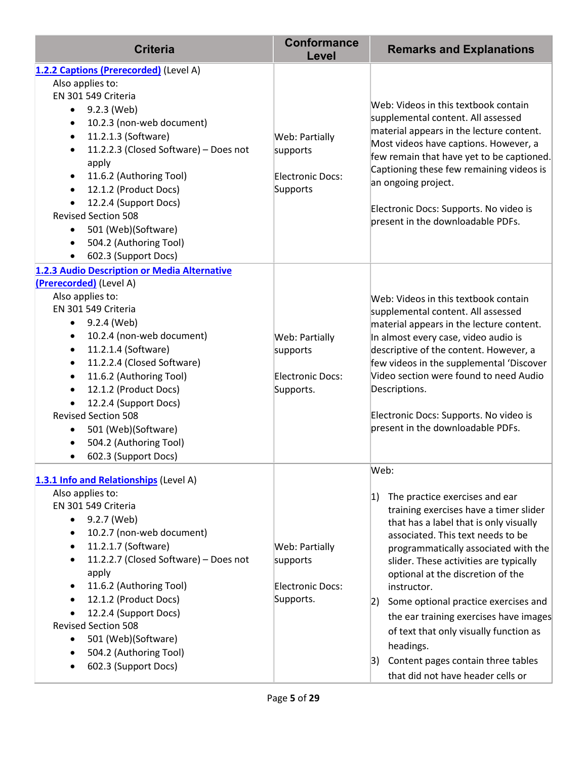| <b>Criteria</b>                                                | <b>Conformance</b><br>Level | <b>Remarks and Explanations</b>                                                    |
|----------------------------------------------------------------|-----------------------------|------------------------------------------------------------------------------------|
| 1.2.2 Captions (Prerecorded) (Level A)                         |                             |                                                                                    |
| Also applies to:                                               |                             |                                                                                    |
| EN 301 549 Criteria                                            |                             |                                                                                    |
| 9.2.3 (Web)<br>$\bullet$                                       |                             | Web: Videos in this textbook contain                                               |
| 10.2.3 (non-web document)<br>$\bullet$                         |                             | supplemental content. All assessed<br>material appears in the lecture content.     |
| 11.2.1.3 (Software)<br>$\bullet$                               | Web: Partially              | Most videos have captions. However, a                                              |
| 11.2.2.3 (Closed Software) - Does not<br>$\bullet$             | supports                    | few remain that have yet to be captioned.                                          |
| apply                                                          |                             | Captioning these few remaining videos is                                           |
| 11.6.2 (Authoring Tool)<br>$\bullet$                           | Electronic Docs:            | an ongoing project.                                                                |
| 12.1.2 (Product Docs)<br>$\bullet$                             | Supports                    |                                                                                    |
| 12.2.4 (Support Docs)<br>$\bullet$                             |                             | Electronic Docs: Supports. No video is                                             |
| <b>Revised Section 508</b>                                     |                             | present in the downloadable PDFs.                                                  |
| 501 (Web)(Software)<br>$\bullet$                               |                             |                                                                                    |
| 504.2 (Authoring Tool)<br>$\bullet$                            |                             |                                                                                    |
| 602.3 (Support Docs)<br>$\bullet$                              |                             |                                                                                    |
| 1.2.3 Audio Description or Media Alternative                   |                             |                                                                                    |
| (Prerecorded) (Level A)                                        |                             |                                                                                    |
| Also applies to:<br>EN 301 549 Criteria                        |                             | Web: Videos in this textbook contain                                               |
|                                                                |                             | supplemental content. All assessed                                                 |
| 9.2.4 (Web)<br>$\bullet$                                       |                             | material appears in the lecture content.                                           |
| 10.2.4 (non-web document)<br>$\bullet$                         | <b>Web: Partially</b>       | In almost every case, video audio is                                               |
| 11.2.1.4 (Software)<br>$\bullet$<br>11.2.2.4 (Closed Software) | supports                    | descriptive of the content. However, a                                             |
| $\bullet$<br>11.6.2 (Authoring Tool)<br>$\bullet$              | <b>Electronic Docs:</b>     | few videos in the supplemental 'Discover<br>Video section were found to need Audio |
| 12.1.2 (Product Docs)<br>$\bullet$                             | Supports.                   | Descriptions.                                                                      |
| 12.2.4 (Support Docs)                                          |                             |                                                                                    |
| <b>Revised Section 508</b>                                     |                             | Electronic Docs: Supports. No video is                                             |
| 501 (Web)(Software)<br>$\bullet$                               |                             | present in the downloadable PDFs.                                                  |
| 504.2 (Authoring Tool)                                         |                             |                                                                                    |
| 602.3 (Support Docs)<br>$\bullet$                              |                             |                                                                                    |
|                                                                |                             | Web:                                                                               |
| 1.3.1 Info and Relationships (Level A)                         |                             |                                                                                    |
| Also applies to:                                               |                             | 1)<br>The practice exercises and ear                                               |
| EN 301 549 Criteria                                            |                             | training exercises have a timer slider                                             |
| 9.2.7 (Web)<br>$\bullet$                                       |                             | that has a label that is only visually                                             |
| 10.2.7 (non-web document)<br>$\bullet$                         |                             | associated. This text needs to be                                                  |
| 11.2.1.7 (Software)<br>٠                                       | Web: Partially              | programmatically associated with the                                               |
| 11.2.2.7 (Closed Software) - Does not<br>$\bullet$             | supports                    | slider. These activities are typically                                             |
| apply                                                          |                             | optional at the discretion of the                                                  |
| 11.6.2 (Authoring Tool)<br>$\bullet$                           | <b>Electronic Docs:</b>     | instructor.                                                                        |
| 12.1.2 (Product Docs)                                          | Supports.                   | Some optional practice exercises and<br> 2)                                        |
| 12.2.4 (Support Docs)                                          |                             | the ear training exercises have images                                             |
| <b>Revised Section 508</b>                                     |                             | of text that only visually function as                                             |
| 501 (Web)(Software)<br>$\bullet$                               |                             | headings.                                                                          |
| 504.2 (Authoring Tool)                                         |                             | Content pages contain three tables<br> 3)                                          |
| 602.3 (Support Docs)                                           |                             | that did not have header cells or                                                  |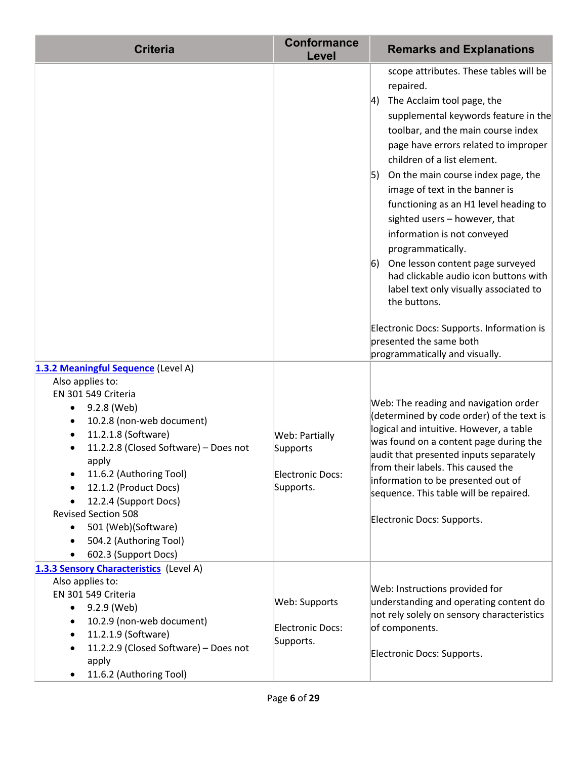| <b>Criteria</b>                                                                                                                                                                                                                                                                                                                                                                                      | <b>Conformance</b><br>Level                                        | <b>Remarks and Explanations</b>                                                                                                                                                                                                                                                                                                                                                                                                                                                                                                                                                                                                                                                                              |
|------------------------------------------------------------------------------------------------------------------------------------------------------------------------------------------------------------------------------------------------------------------------------------------------------------------------------------------------------------------------------------------------------|--------------------------------------------------------------------|--------------------------------------------------------------------------------------------------------------------------------------------------------------------------------------------------------------------------------------------------------------------------------------------------------------------------------------------------------------------------------------------------------------------------------------------------------------------------------------------------------------------------------------------------------------------------------------------------------------------------------------------------------------------------------------------------------------|
|                                                                                                                                                                                                                                                                                                                                                                                                      |                                                                    | scope attributes. These tables will be<br>repaired.<br>The Acclaim tool page, the<br>4)<br>supplemental keywords feature in the<br>toolbar, and the main course index<br>page have errors related to improper<br>children of a list element.<br>5) On the main course index page, the<br>image of text in the banner is<br>functioning as an H1 level heading to<br>sighted users - however, that<br>information is not conveyed<br>programmatically.<br>One lesson content page surveyed<br>6)<br>had clickable audio icon buttons with<br>label text only visually associated to<br>the buttons.<br>Electronic Docs: Supports. Information is<br>presented the same both<br>programmatically and visually. |
| 1.3.2 Meaningful Sequence (Level A)<br>Also applies to:<br>EN 301 549 Criteria<br>9.2.8 (Web)<br>10.2.8 (non-web document)<br>11.2.1.8 (Software)<br>11.2.2.8 (Closed Software) - Does not<br>apply<br>11.6.2 (Authoring Tool)<br>$\bullet$<br>12.1.2 (Product Docs)<br>12.2.4 (Support Docs)<br><b>Revised Section 508</b><br>501 (Web)(Software)<br>504.2 (Authoring Tool)<br>602.3 (Support Docs) | Web: Partially<br>Supports<br><b>Electronic Docs:</b><br>Supports. | Web: The reading and navigation order<br>(determined by code order) of the text is<br>logical and intuitive. However, a table<br>was found on a content page during the<br>audit that presented inputs separately<br>from their labels. This caused the<br>information to be presented out of<br>sequence. This table will be repaired.<br>Electronic Docs: Supports.                                                                                                                                                                                                                                                                                                                                        |
| 1.3.3 Sensory Characteristics (Level A)<br>Also applies to:<br>EN 301 549 Criteria<br>9.2.9 (Web)<br>$\bullet$<br>10.2.9 (non-web document)<br>11.2.1.9 (Software)<br>11.2.2.9 (Closed Software) - Does not<br>apply<br>11.6.2 (Authoring Tool)                                                                                                                                                      | Web: Supports<br><b>Electronic Docs:</b><br>Supports.              | Web: Instructions provided for<br>understanding and operating content do<br>not rely solely on sensory characteristics<br>of components.<br>Electronic Docs: Supports.                                                                                                                                                                                                                                                                                                                                                                                                                                                                                                                                       |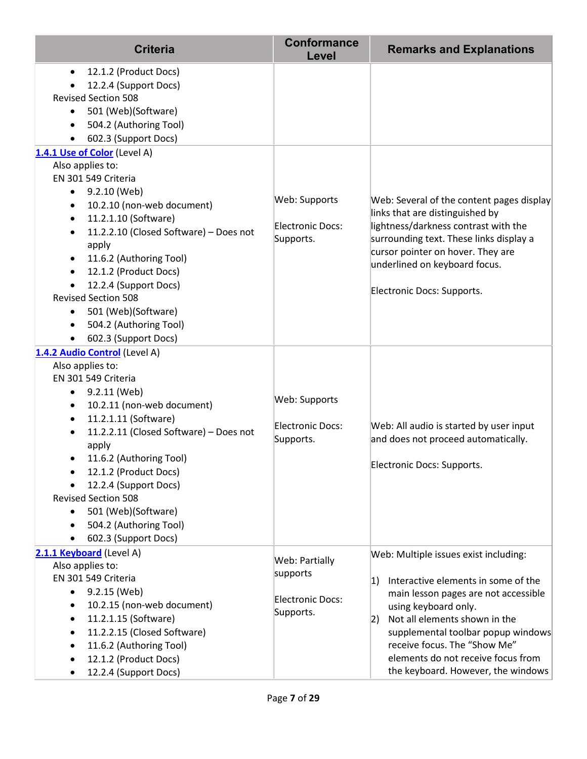| <b>Criteria</b>                                                                                                                                                                                                                                                                                                                                                                                                                                                                                                                                                                                                                                                                                           | <b>Conformance</b><br>Level                                        | <b>Remarks and Explanations</b>                                                                                                                                                                                                                                                                                                               |
|-----------------------------------------------------------------------------------------------------------------------------------------------------------------------------------------------------------------------------------------------------------------------------------------------------------------------------------------------------------------------------------------------------------------------------------------------------------------------------------------------------------------------------------------------------------------------------------------------------------------------------------------------------------------------------------------------------------|--------------------------------------------------------------------|-----------------------------------------------------------------------------------------------------------------------------------------------------------------------------------------------------------------------------------------------------------------------------------------------------------------------------------------------|
| 12.1.2 (Product Docs)<br>$\bullet$<br>12.2.4 (Support Docs)<br><b>Revised Section 508</b><br>501 (Web)(Software)<br>$\bullet$<br>504.2 (Authoring Tool)<br>$\bullet$<br>602.3 (Support Docs)<br>1.4.1 Use of Color (Level A)<br>Also applies to:<br>EN 301 549 Criteria<br>9.2.10 (Web)<br>$\bullet$<br>10.2.10 (non-web document)<br>$\bullet$<br>11.2.1.10 (Software)<br>$\bullet$<br>11.2.2.10 (Closed Software) - Does not<br>$\bullet$<br>apply<br>11.6.2 (Authoring Tool)<br>$\bullet$<br>12.1.2 (Product Docs)<br>$\bullet$<br>12.2.4 (Support Docs)<br>$\bullet$<br><b>Revised Section 508</b><br>501 (Web)(Software)<br>$\bullet$<br>504.2 (Authoring Tool)<br>$\bullet$<br>602.3 (Support Docs) | Web: Supports<br>Electronic Docs:<br>Supports.                     | Web: Several of the content pages display<br>links that are distinguished by<br>lightness/darkness contrast with the<br>surrounding text. These links display a<br>cursor pointer on hover. They are<br>underlined on keyboard focus.<br>Electronic Docs: Supports.                                                                           |
| 1.4.2 Audio Control (Level A)<br>Also applies to:<br>EN 301 549 Criteria<br>9.2.11 (Web)<br>$\bullet$<br>10.2.11 (non-web document)<br>$\bullet$<br>11.2.1.11 (Software)<br>$\bullet$<br>11.2.2.11 (Closed Software) - Does not<br>$\bullet$<br>apply<br>11.6.2 (Authoring Tool)<br>12.1.2 (Product Docs)<br>$\bullet$<br>12.2.4 (Support Docs)<br><b>Revised Section 508</b><br>501 (Web)(Software)<br>$\bullet$<br>504.2 (Authoring Tool)<br>$\bullet$<br>602.3 (Support Docs)<br>$\bullet$                                                                                                                                                                                                             | Web: Supports<br>Electronic Docs:<br>Supports.                     | Web: All audio is started by user input<br>and does not proceed automatically.<br>Electronic Docs: Supports.                                                                                                                                                                                                                                  |
| 2.1.1 Keyboard (Level A)<br>Also applies to:<br>EN 301 549 Criteria<br>9.2.15 (Web)<br>$\bullet$<br>10.2.15 (non-web document)<br>$\bullet$<br>11.2.1.15 (Software)<br>$\bullet$<br>11.2.2.15 (Closed Software)<br>$\bullet$<br>11.6.2 (Authoring Tool)<br>$\bullet$<br>12.1.2 (Product Docs)<br>$\bullet$<br>12.2.4 (Support Docs)                                                                                                                                                                                                                                                                                                                                                                       | <b>Web: Partially</b><br>supports<br>Electronic Docs:<br>Supports. | Web: Multiple issues exist including:<br>Interactive elements in some of the<br> 1)<br>main lesson pages are not accessible<br>using keyboard only.<br>Not all elements shown in the<br> 2)<br>supplemental toolbar popup windows<br>receive focus. The "Show Me"<br>elements do not receive focus from<br>the keyboard. However, the windows |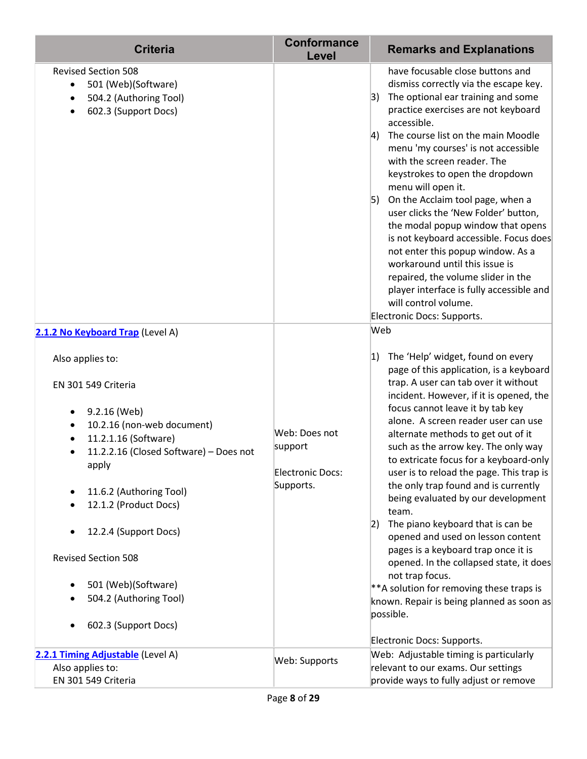| <b>Criteria</b>                                                                                                                                                                                                                                                                                                                                                   | <b>Conformance</b><br>Level                                      | <b>Remarks and Explanations</b>                                                                                                                                                                                                                                                                                                                                                                                                                                                                                                                                                                                                                                                                                                                                                                                                        |
|-------------------------------------------------------------------------------------------------------------------------------------------------------------------------------------------------------------------------------------------------------------------------------------------------------------------------------------------------------------------|------------------------------------------------------------------|----------------------------------------------------------------------------------------------------------------------------------------------------------------------------------------------------------------------------------------------------------------------------------------------------------------------------------------------------------------------------------------------------------------------------------------------------------------------------------------------------------------------------------------------------------------------------------------------------------------------------------------------------------------------------------------------------------------------------------------------------------------------------------------------------------------------------------------|
| <b>Revised Section 508</b><br>501 (Web)(Software)<br>$\bullet$<br>504.2 (Authoring Tool)<br>602.3 (Support Docs)                                                                                                                                                                                                                                                  |                                                                  | have focusable close buttons and<br>dismiss correctly via the escape key.<br>The optional ear training and some<br> 3)<br>practice exercises are not keyboard<br>accessible.<br>The course list on the main Moodle<br> 4)<br>menu 'my courses' is not accessible<br>with the screen reader. The<br>keystrokes to open the dropdown<br>menu will open it.<br>5)<br>On the Acclaim tool page, when a<br>user clicks the 'New Folder' button,<br>the modal popup window that opens<br>is not keyboard accessible. Focus does<br>not enter this popup window. As a<br>workaround until this issue is<br>repaired, the volume slider in the<br>player interface is fully accessible and<br>will control volume.<br>Electronic Docs: Supports.                                                                                               |
| 2.1.2 No Keyboard Trap (Level A)                                                                                                                                                                                                                                                                                                                                  |                                                                  | Web                                                                                                                                                                                                                                                                                                                                                                                                                                                                                                                                                                                                                                                                                                                                                                                                                                    |
| Also applies to:<br>EN 301 549 Criteria<br>9.2.16 (Web)<br>10.2.16 (non-web document)<br>11.2.1.16 (Software)<br>$\bullet$<br>11.2.2.16 (Closed Software) - Does not<br>apply<br>11.6.2 (Authoring Tool)<br>12.1.2 (Product Docs)<br>12.2.4 (Support Docs)<br><b>Revised Section 508</b><br>501 (Web)(Software)<br>504.2 (Authoring Tool)<br>602.3 (Support Docs) | Web: Does not<br>support<br><b>Electronic Docs:</b><br>Supports. | The 'Help' widget, found on every<br> 1)<br>page of this application, is a keyboard<br>trap. A user can tab over it without<br>incident. However, if it is opened, the<br>focus cannot leave it by tab key<br>alone. A screen reader user can use<br>alternate methods to get out of it<br>such as the arrow key. The only way<br>to extricate focus for a keyboard-only<br>user is to reload the page. This trap is<br>the only trap found and is currently<br>being evaluated by our development<br>team.<br>The piano keyboard that is can be<br> 2)<br>opened and used on lesson content<br>pages is a keyboard trap once it is<br>opened. In the collapsed state, it does<br>not trap focus.<br>** A solution for removing these traps is<br>known. Repair is being planned as soon as<br>possible.<br>Electronic Docs: Supports. |
| 2.2.1 Timing Adjustable (Level A)<br>Also applies to:                                                                                                                                                                                                                                                                                                             | Web: Supports                                                    | Web: Adjustable timing is particularly<br>relevant to our exams. Our settings                                                                                                                                                                                                                                                                                                                                                                                                                                                                                                                                                                                                                                                                                                                                                          |
| EN 301 549 Criteria                                                                                                                                                                                                                                                                                                                                               |                                                                  | provide ways to fully adjust or remove                                                                                                                                                                                                                                                                                                                                                                                                                                                                                                                                                                                                                                                                                                                                                                                                 |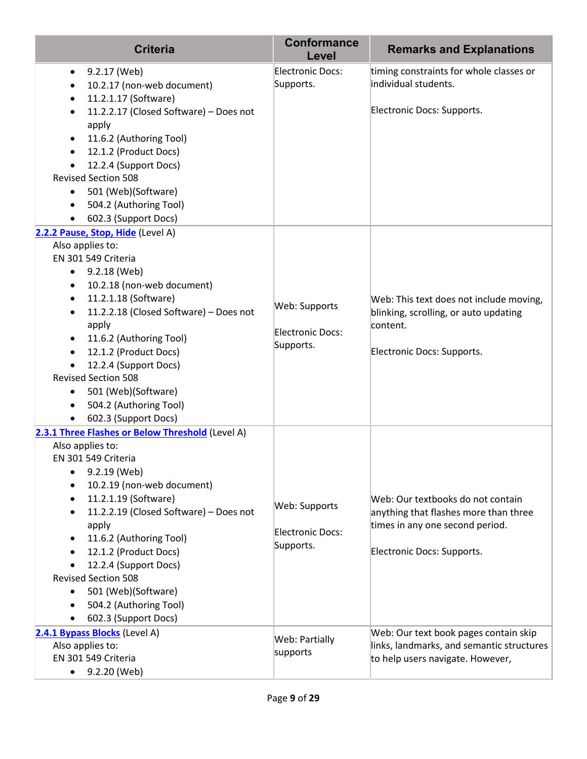| <b>Criteria</b>                                                                                                                                                                                                                                                                                                                                                                                                                                                                                                               | <b>Conformance</b><br>Level                           | <b>Remarks and Explanations</b>                                                                                                             |
|-------------------------------------------------------------------------------------------------------------------------------------------------------------------------------------------------------------------------------------------------------------------------------------------------------------------------------------------------------------------------------------------------------------------------------------------------------------------------------------------------------------------------------|-------------------------------------------------------|---------------------------------------------------------------------------------------------------------------------------------------------|
| 9.2.17 (Web)<br>$\bullet$<br>10.2.17 (non-web document)<br>$\bullet$<br>11.2.1.17 (Software)<br>$\bullet$<br>11.2.2.17 (Closed Software) - Does not<br>$\bullet$<br>apply<br>11.6.2 (Authoring Tool)<br>$\bullet$<br>12.1.2 (Product Docs)<br>$\bullet$<br>12.2.4 (Support Docs)<br>$\bullet$<br><b>Revised Section 508</b><br>501 (Web)(Software)<br>٠<br>504.2 (Authoring Tool)<br>$\bullet$<br>602.3 (Support Docs)<br>$\bullet$                                                                                           | <b>Electronic Docs:</b><br>Supports.                  | timing constraints for whole classes or<br>individual students.<br>Electronic Docs: Supports.                                               |
| 2.2.2 Pause, Stop, Hide (Level A)<br>Also applies to:<br>EN 301 549 Criteria<br>9.2.18 (Web)<br>$\bullet$<br>10.2.18 (non-web document)<br>$\bullet$<br>11.2.1.18 (Software)<br>$\bullet$<br>11.2.2.18 (Closed Software) - Does not<br>$\bullet$<br>apply<br>11.6.2 (Authoring Tool)<br>$\bullet$<br>12.1.2 (Product Docs)<br>$\bullet$<br>12.2.4 (Support Docs)<br>$\bullet$<br><b>Revised Section 508</b><br>501 (Web)(Software)<br>$\bullet$<br>504.2 (Authoring Tool)<br>$\bullet$<br>602.3 (Support Docs)<br>$\bullet$   | Web: Supports<br><b>Electronic Docs:</b><br>Supports. | Web: This text does not include moving,<br>blinking, scrolling, or auto updating<br>content.<br>Electronic Docs: Supports.                  |
| 2.3.1 Three Flashes or Below Threshold (Level A)<br>Also applies to:<br>EN 301 549 Criteria<br>9.2.19 (Web)<br>$\bullet$<br>10.2.19 (non-web document)<br>$\bullet$<br>11.2.1.19 (Software)<br>$\bullet$<br>11.2.2.19 (Closed Software) - Does not<br>$\bullet$<br>apply<br>11.6.2 (Authoring Tool)<br>$\bullet$<br>12.1.2 (Product Docs)<br>$\bullet$<br>12.2.4 (Support Docs)<br><b>Revised Section 508</b><br>501 (Web)(Software)<br>$\bullet$<br>504.2 (Authoring Tool)<br>$\bullet$<br>602.3 (Support Docs)<br>$\bullet$ | Web: Supports<br><b>Electronic Docs:</b><br>Supports. | Web: Our textbooks do not contain<br>anything that flashes more than three<br>times in any one second period.<br>Electronic Docs: Supports. |
| 2.4.1 Bypass Blocks (Level A)<br>Also applies to:<br>EN 301 549 Criteria<br>9.2.20 (Web)<br>$\bullet$                                                                                                                                                                                                                                                                                                                                                                                                                         | Web: Partially<br>supports                            | Web: Our text book pages contain skip<br>links, landmarks, and semantic structures<br>to help users navigate. However,                      |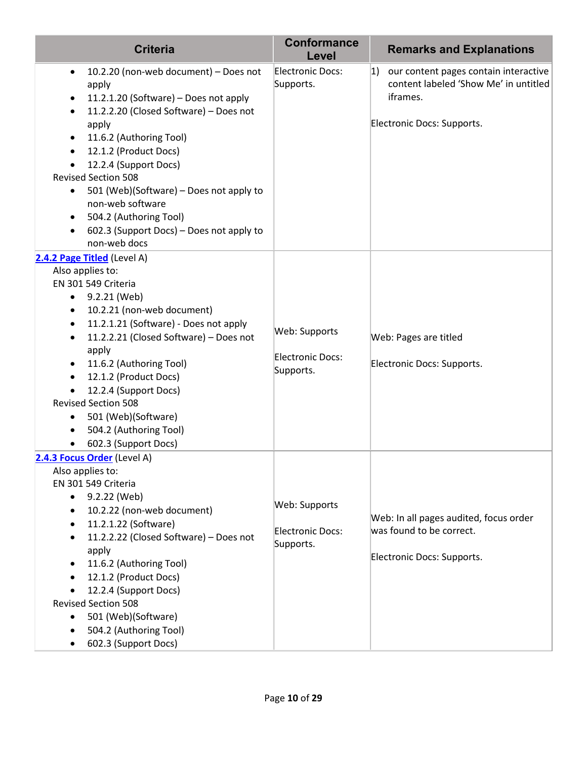| <b>Criteria</b>                                                                                                                                                                                                                                                                                                                                                                                                                                                                                            | <b>Conformance</b><br>Level                           | <b>Remarks and Explanations</b>                                                                                                 |
|------------------------------------------------------------------------------------------------------------------------------------------------------------------------------------------------------------------------------------------------------------------------------------------------------------------------------------------------------------------------------------------------------------------------------------------------------------------------------------------------------------|-------------------------------------------------------|---------------------------------------------------------------------------------------------------------------------------------|
| 10.2.20 (non-web document) - Does not<br>$\bullet$<br>apply<br>11.2.1.20 (Software) - Does not apply<br>٠<br>11.2.2.20 (Closed Software) - Does not<br>$\bullet$<br>apply<br>11.6.2 (Authoring Tool)<br>$\bullet$<br>12.1.2 (Product Docs)<br>$\bullet$<br>12.2.4 (Support Docs)<br><b>Revised Section 508</b><br>501 (Web)(Software) - Does not apply to<br>$\bullet$<br>non-web software<br>504.2 (Authoring Tool)<br>$\bullet$<br>602.3 (Support Docs) - Does not apply to<br>$\bullet$<br>non-web docs | <b>Electronic Docs:</b><br>Supports.                  | our content pages contain interactive<br> 1)<br>content labeled 'Show Me' in untitled<br>iframes.<br>Electronic Docs: Supports. |
| 2.4.2 Page Titled (Level A)<br>Also applies to:<br>EN 301 549 Criteria<br>9.2.21 (Web)<br>$\bullet$<br>10.2.21 (non-web document)<br>٠<br>11.2.1.21 (Software) - Does not apply<br>$\bullet$<br>11.2.2.21 (Closed Software) - Does not<br>$\bullet$<br>apply<br>11.6.2 (Authoring Tool)<br>٠<br>12.1.2 (Product Docs)<br>$\bullet$<br>12.2.4 (Support Docs)<br><b>Revised Section 508</b><br>501 (Web)(Software)<br>٠<br>504.2 (Authoring Tool)<br>602.3 (Support Docs)                                    | Web: Supports<br><b>Electronic Docs:</b><br>Supports. | Web: Pages are titled<br>Electronic Docs: Supports.                                                                             |
| 2.4.3 Focus Order (Level A)<br>Also applies to:<br>EN 301 549 Criteria<br>9.2.22 (Web)<br>٠<br>10.2.22 (non-web document)<br>$\bullet$<br>11.2.1.22 (Software)<br>$\bullet$<br>11.2.2.22 (Closed Software) - Does not<br>$\bullet$<br>apply<br>11.6.2 (Authoring Tool)<br>٠<br>12.1.2 (Product Docs)<br>$\bullet$<br>12.2.4 (Support Docs)<br><b>Revised Section 508</b><br>501 (Web)(Software)<br>$\bullet$<br>504.2 (Authoring Tool)<br>$\bullet$<br>602.3 (Support Docs)                                | Web: Supports<br><b>Electronic Docs:</b><br>Supports. | Web: In all pages audited, focus order<br>was found to be correct.<br>Electronic Docs: Supports.                                |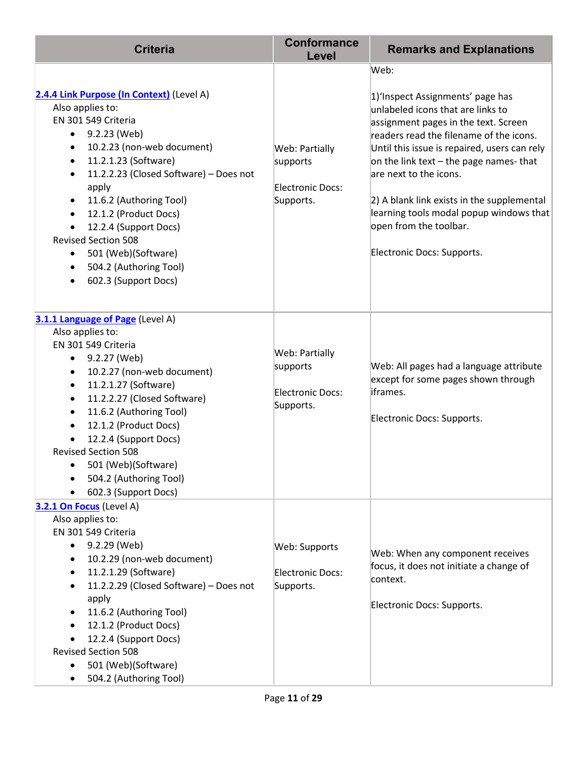| <b>Criteria</b>                                                                                                                                                                                                                                                                                                                                                                                                                                                                                           | <b>Conformance</b><br>Level                                               | <b>Remarks and Explanations</b>                                                                                                                                                                                                                                                                                                                                                                                                        |
|-----------------------------------------------------------------------------------------------------------------------------------------------------------------------------------------------------------------------------------------------------------------------------------------------------------------------------------------------------------------------------------------------------------------------------------------------------------------------------------------------------------|---------------------------------------------------------------------------|----------------------------------------------------------------------------------------------------------------------------------------------------------------------------------------------------------------------------------------------------------------------------------------------------------------------------------------------------------------------------------------------------------------------------------------|
| 2.4.4 Link Purpose (In Context) (Level A)<br>Also applies to:<br>EN 301 549 Criteria<br>9.2.23 (Web)<br>$\bullet$<br>10.2.23 (non-web document)<br>$\bullet$<br>11.2.1.23 (Software)<br>$\bullet$<br>11.2.2.23 (Closed Software) - Does not<br>$\bullet$<br>apply<br>11.6.2 (Authoring Tool)<br>$\bullet$<br>12.1.2 (Product Docs)<br>$\bullet$<br>12.2.4 (Support Docs)<br><b>Revised Section 508</b><br>501 (Web)(Software)<br>$\bullet$<br>504.2 (Authoring Tool)<br>$\bullet$<br>602.3 (Support Docs) | Web: Partially<br>supports<br><b>Electronic Docs:</b><br>Supports.        | Web:<br>1) Inspect Assignments' page has<br>unlabeled icons that are links to<br>assignment pages in the text. Screen<br>readers read the filename of the icons.<br>Until this issue is repaired, users can rely<br>on the link text - the page names- that<br>are next to the icons.<br>2) A blank link exists in the supplemental<br>learning tools modal popup windows that<br>open from the toolbar.<br>Electronic Docs: Supports. |
| 3.1.1 Language of Page (Level A)<br>Also applies to:<br>EN 301 549 Criteria<br>9.2.27 (Web)<br>$\bullet$<br>10.2.27 (non-web document)<br>$\bullet$<br>11.2.1.27 (Software)<br>$\bullet$<br>11.2.2.27 (Closed Software)<br>$\bullet$<br>11.6.2 (Authoring Tool)<br>$\bullet$<br>12.1.2 (Product Docs)<br>12.2.4 (Support Docs)<br><b>Revised Section 508</b><br>501 (Web)(Software)<br>504.2 (Authoring Tool)<br>602.3 (Support Docs)                                                                     | <b>Web: Partially</b><br>supports<br><b>Electronic Docs:</b><br>Supports. | Web: All pages had a language attribute<br>except for some pages shown through<br>iframes.<br>Electronic Docs: Supports.                                                                                                                                                                                                                                                                                                               |
| 3.2.1 On Focus (Level A)<br>Also applies to:<br>EN 301 549 Criteria<br>9.2.29 (Web)<br>$\bullet$<br>10.2.29 (non-web document)<br>$\bullet$<br>11.2.1.29 (Software)<br>$\bullet$<br>11.2.2.29 (Closed Software) - Does not<br>apply<br>11.6.2 (Authoring Tool)<br>12.1.2 (Product Docs)<br>12.2.4 (Support Docs)<br><b>Revised Section 508</b><br>501 (Web)(Software)<br>$\bullet$<br>504.2 (Authoring Tool)                                                                                              | Web: Supports<br><b>Electronic Docs:</b><br>Supports.                     | Web: When any component receives<br>focus, it does not initiate a change of<br>context.<br>Electronic Docs: Supports.                                                                                                                                                                                                                                                                                                                  |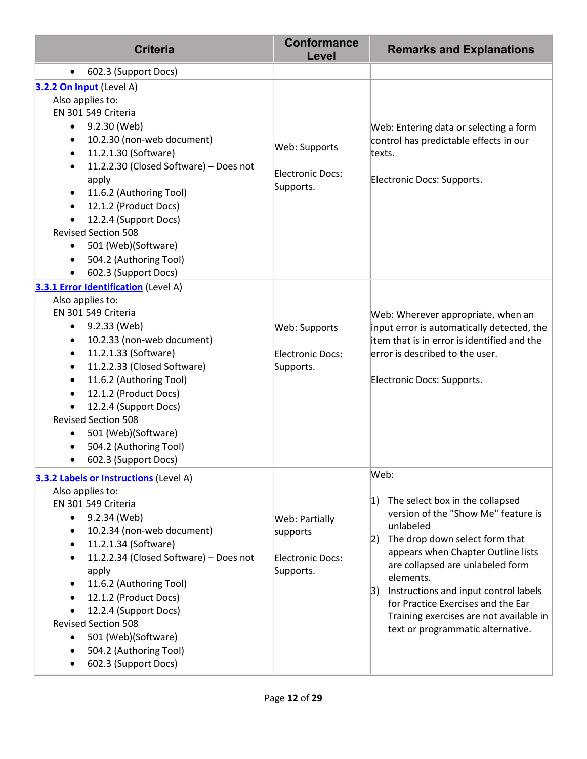| <b>Criteria</b>                                                                                                                                                                                                                                                                                                                                                                                                                                                                          | <b>Conformance</b><br>Level                                 | <b>Remarks and Explanations</b>                                                                                                                                                                                                                                                                                                                                                                  |
|------------------------------------------------------------------------------------------------------------------------------------------------------------------------------------------------------------------------------------------------------------------------------------------------------------------------------------------------------------------------------------------------------------------------------------------------------------------------------------------|-------------------------------------------------------------|--------------------------------------------------------------------------------------------------------------------------------------------------------------------------------------------------------------------------------------------------------------------------------------------------------------------------------------------------------------------------------------------------|
| 602.3 (Support Docs)<br>$\bullet$                                                                                                                                                                                                                                                                                                                                                                                                                                                        |                                                             |                                                                                                                                                                                                                                                                                                                                                                                                  |
| 3.2.2 On Input (Level A)<br>Also applies to:<br>EN 301 549 Criteria<br>9.2.30 (Web)<br>$\bullet$<br>10.2.30 (non-web document)<br>٠<br>11.2.1.30 (Software)<br>$\bullet$<br>11.2.2.30 (Closed Software) - Does not<br>apply<br>11.6.2 (Authoring Tool)<br>$\bullet$<br>12.1.2 (Product Docs)<br>$\bullet$<br>12.2.4 (Support Docs)<br><b>Revised Section 508</b><br>501 (Web)(Software)<br>504.2 (Authoring Tool)<br>602.3 (Support Docs)<br><b>3.3.1 Error Identification (Level A)</b> | Web: Supports<br><b>Electronic Docs:</b><br>Supports.       | Web: Entering data or selecting a form<br>control has predictable effects in our<br>texts.<br>Electronic Docs: Supports.                                                                                                                                                                                                                                                                         |
| Also applies to:<br>EN 301 549 Criteria<br>9.2.33 (Web)<br>$\bullet$<br>10.2.33 (non-web document)<br>11.2.1.33 (Software)<br>11.2.2.33 (Closed Software)<br>$\bullet$<br>11.6.2 (Authoring Tool)<br>12.1.2 (Product Docs)<br>12.2.4 (Support Docs)<br><b>Revised Section 508</b><br>501 (Web)(Software)<br>504.2 (Authoring Tool)<br>602.3 (Support Docs)                                                                                                                               | Web: Supports<br>Electronic Docs:<br>Supports.              | Web: Wherever appropriate, when an<br>input error is automatically detected, the<br>item that is in error is identified and the<br>error is described to the user.<br>Electronic Docs: Supports.                                                                                                                                                                                                 |
| 3.3.2 Labels or Instructions (Level A)<br>Also applies to:<br>EN 301 549 Criteria<br>9.2.34 (Web)<br>$\bullet$<br>10.2.34 (non-web document)<br>$\bullet$<br>11.2.1.34 (Software)<br>$\bullet$<br>11.2.2.34 (Closed Software) - Does not<br>apply<br>11.6.2 (Authoring Tool)<br>12.1.2 (Product Docs)<br>12.2.4 (Support Docs)<br><b>Revised Section 508</b><br>501 (Web)(Software)<br>$\bullet$<br>504.2 (Authoring Tool)<br>602.3 (Support Docs)                                       | Web: Partially<br>supports<br>Electronic Docs:<br>Supports. | Web:<br>The select box in the collapsed<br> 1)<br>version of the "Show Me" feature is<br>unlabeled<br>2) The drop down select form that<br>appears when Chapter Outline lists<br>are collapsed are unlabeled form<br>elements.<br>3) Instructions and input control labels<br>for Practice Exercises and the Ear<br>Training exercises are not available in<br>text or programmatic alternative. |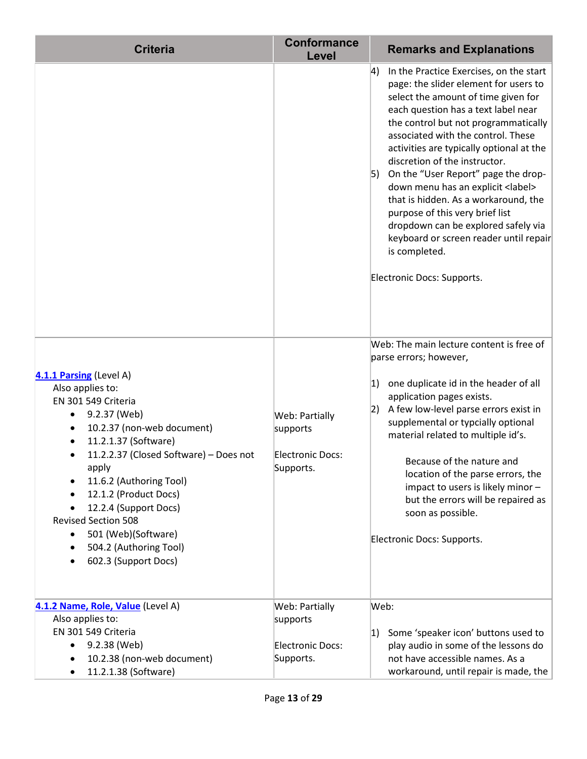| <b>Criteria</b>                                                                                                                                                                                                                                                                                                                                                                                                          | <b>Conformance</b><br>Level                                               | <b>Remarks and Explanations</b>                                                                                                                                                                                                                                                                                                                                                                                                                                                                                                                                                                                                                      |
|--------------------------------------------------------------------------------------------------------------------------------------------------------------------------------------------------------------------------------------------------------------------------------------------------------------------------------------------------------------------------------------------------------------------------|---------------------------------------------------------------------------|------------------------------------------------------------------------------------------------------------------------------------------------------------------------------------------------------------------------------------------------------------------------------------------------------------------------------------------------------------------------------------------------------------------------------------------------------------------------------------------------------------------------------------------------------------------------------------------------------------------------------------------------------|
|                                                                                                                                                                                                                                                                                                                                                                                                                          |                                                                           | In the Practice Exercises, on the start<br>$ 4\rangle$<br>page: the slider element for users to<br>select the amount of time given for<br>each question has a text label near<br>the control but not programmatically<br>associated with the control. These<br>activities are typically optional at the<br>discretion of the instructor.<br>On the "User Report" page the drop-<br> 5)<br>down menu has an explicit <label><br/>that is hidden. As a workaround, the<br/>purpose of this very brief list<br/>dropdown can be explored safely via<br/>keyboard or screen reader until repair<br/>is completed.<br/>Electronic Docs: Supports.</label> |
| 4.1.1 Parsing (Level A)<br>Also applies to:<br>EN 301 549 Criteria<br>9.2.37 (Web)<br>٠<br>10.2.37 (non-web document)<br>٠<br>11.2.1.37 (Software)<br>11.2.2.37 (Closed Software) - Does not<br>apply<br>11.6.2 (Authoring Tool)<br>12.1.2 (Product Docs)<br>12.2.4 (Support Docs)<br><b>Revised Section 508</b><br>501 (Web)(Software)<br>$\bullet$<br>504.2 (Authoring Tool)<br>٠<br>602.3 (Support Docs)<br>$\bullet$ | <b>Web: Partially</b><br>supports<br>Electronic Docs:<br>Supports.        | Web: The main lecture content is free of<br>parse errors; however,<br>one duplicate id in the header of all<br> 1)<br>application pages exists.<br>A few low-level parse errors exist in<br>2)<br>supplemental or typcially optional<br>material related to multiple id's.<br>Because of the nature and<br>location of the parse errors, the<br>impact to users is likely minor -<br>but the errors will be repaired as<br>soon as possible.<br>Electronic Docs: Supports.                                                                                                                                                                           |
| 4.1.2 Name, Role, Value (Level A)<br>Also applies to:<br>EN 301 549 Criteria<br>9.2.38 (Web)<br>٠<br>10.2.38 (non-web document)<br>11.2.1.38 (Software)                                                                                                                                                                                                                                                                  | <b>Web: Partially</b><br>supports<br><b>Electronic Docs:</b><br>Supports. | Web:<br>Some 'speaker icon' buttons used to<br> 1)<br>play audio in some of the lessons do<br>not have accessible names. As a<br>workaround, until repair is made, the                                                                                                                                                                                                                                                                                                                                                                                                                                                                               |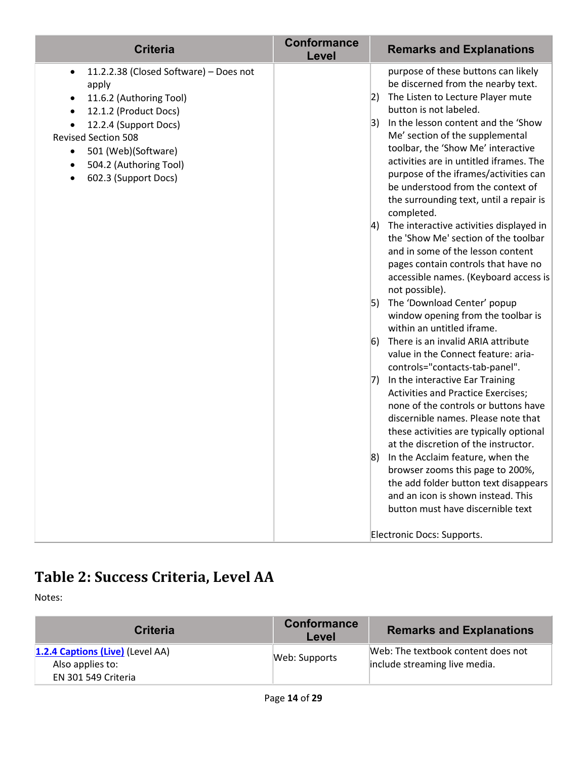| <b>Criteria</b>                                                                                                                                                                                                                                                                                   | <b>Conformance</b><br>Level | <b>Remarks and Explanations</b>                                                                                                                                                                                                                                                                                                                                                                                                                                                                                                                                                                                                                                                                                                                                                                                                                                                                                                                                                                                                                                                                                                                                                                                                                                                                                  |
|---------------------------------------------------------------------------------------------------------------------------------------------------------------------------------------------------------------------------------------------------------------------------------------------------|-----------------------------|------------------------------------------------------------------------------------------------------------------------------------------------------------------------------------------------------------------------------------------------------------------------------------------------------------------------------------------------------------------------------------------------------------------------------------------------------------------------------------------------------------------------------------------------------------------------------------------------------------------------------------------------------------------------------------------------------------------------------------------------------------------------------------------------------------------------------------------------------------------------------------------------------------------------------------------------------------------------------------------------------------------------------------------------------------------------------------------------------------------------------------------------------------------------------------------------------------------------------------------------------------------------------------------------------------------|
| 11.2.2.38 (Closed Software) - Does not<br>$\bullet$<br>apply<br>11.6.2 (Authoring Tool)<br>٠<br>12.1.2 (Product Docs)<br>12.2.4 (Support Docs)<br>٠<br><b>Revised Section 508</b><br>501 (Web)(Software)<br>$\bullet$<br>504.2 (Authoring Tool)<br>$\bullet$<br>602.3 (Support Docs)<br>$\bullet$ |                             | purpose of these buttons can likely<br>be discerned from the nearby text.<br>The Listen to Lecture Player mute<br> 2)<br>button is not labeled.<br>In the lesson content and the 'Show<br> 3)<br>Me' section of the supplemental<br>toolbar, the 'Show Me' interactive<br>activities are in untitled iframes. The<br>purpose of the iframes/activities can<br>be understood from the context of<br>the surrounding text, until a repair is<br>completed.<br>The interactive activities displayed in<br>$ 4\rangle$<br>the 'Show Me' section of the toolbar<br>and in some of the lesson content<br>pages contain controls that have no<br>accessible names. (Keyboard access is<br>not possible).<br>The 'Download Center' popup<br> 5)<br>window opening from the toolbar is<br>within an untitled iframe.<br>There is an invalid ARIA attribute<br> 6)<br>value in the Connect feature: aria-<br>controls="contacts-tab-panel".<br>In the interactive Ear Training<br>7)<br><b>Activities and Practice Exercises;</b><br>none of the controls or buttons have<br>discernible names. Please note that<br>these activities are typically optional<br>at the discretion of the instructor.<br>In the Acclaim feature, when the<br>8)<br>browser zooms this page to 200%,<br>the add folder button text disappears |
|                                                                                                                                                                                                                                                                                                   |                             | and an icon is shown instead. This<br>button must have discernible text                                                                                                                                                                                                                                                                                                                                                                                                                                                                                                                                                                                                                                                                                                                                                                                                                                                                                                                                                                                                                                                                                                                                                                                                                                          |
|                                                                                                                                                                                                                                                                                                   |                             | Electronic Docs: Supports.                                                                                                                                                                                                                                                                                                                                                                                                                                                                                                                                                                                                                                                                                                                                                                                                                                                                                                                                                                                                                                                                                                                                                                                                                                                                                       |

# **Table 2: Success Criteria, Level AA**

Notes:

| <b>Criteria</b>                                                             | <b>Conformance</b><br>Level | <b>Remarks and Explanations</b>                                     |
|-----------------------------------------------------------------------------|-----------------------------|---------------------------------------------------------------------|
| 1.2.4 Captions (Live) (Level AA)<br>Also applies to:<br>EN 301 549 Criteria | Web: Supports               | Web: The textbook content does not<br>include streaming live media. |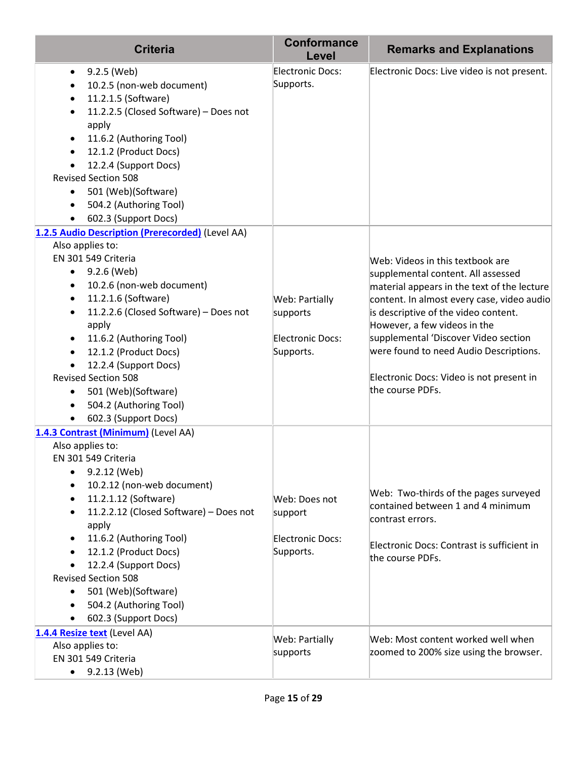| <b>Criteria</b>                                                                                                                                                                                                                                                                                                                                                                                                                                                                                                  | <b>Conformance</b><br>Level                                        | <b>Remarks and Explanations</b>                                                                                                                                                                                                                                                                                                                                                               |
|------------------------------------------------------------------------------------------------------------------------------------------------------------------------------------------------------------------------------------------------------------------------------------------------------------------------------------------------------------------------------------------------------------------------------------------------------------------------------------------------------------------|--------------------------------------------------------------------|-----------------------------------------------------------------------------------------------------------------------------------------------------------------------------------------------------------------------------------------------------------------------------------------------------------------------------------------------------------------------------------------------|
| 9.2.5 (Web)<br>$\bullet$<br>10.2.5 (non-web document)<br>$\bullet$<br>11.2.1.5 (Software)<br>$\bullet$<br>11.2.2.5 (Closed Software) - Does not<br>$\bullet$<br>apply<br>11.6.2 (Authoring Tool)<br>$\bullet$<br>12.1.2 (Product Docs)<br>$\bullet$<br>12.2.4 (Support Docs)<br>$\bullet$<br><b>Revised Section 508</b><br>501 (Web)(Software)<br>$\bullet$<br>504.2 (Authoring Tool)<br>$\bullet$<br>602.3 (Support Docs)<br>$\bullet$                                                                          | <b>Electronic Docs:</b><br>Supports.                               | Electronic Docs: Live video is not present.                                                                                                                                                                                                                                                                                                                                                   |
| 1.2.5 Audio Description (Prerecorded) (Level AA)                                                                                                                                                                                                                                                                                                                                                                                                                                                                 |                                                                    |                                                                                                                                                                                                                                                                                                                                                                                               |
| Also applies to:<br>EN 301 549 Criteria<br>9.2.6 (Web)<br>$\bullet$<br>10.2.6 (non-web document)<br>$\bullet$<br>11.2.1.6 (Software)<br>$\bullet$<br>11.2.2.6 (Closed Software) - Does not<br>$\bullet$<br>apply<br>11.6.2 (Authoring Tool)<br>$\bullet$<br>12.1.2 (Product Docs)<br>$\bullet$<br>12.2.4 (Support Docs)<br>$\bullet$<br><b>Revised Section 508</b><br>501 (Web)(Software)<br>$\bullet$<br>504.2 (Authoring Tool)<br>$\bullet$<br>602.3 (Support Docs)<br>$\bullet$                               | Web: Partially<br>supports<br><b>Electronic Docs:</b><br>Supports. | Web: Videos in this textbook are<br>supplemental content. All assessed<br>material appears in the text of the lecture<br>content. In almost every case, video audio<br>is descriptive of the video content.<br>However, a few videos in the<br>supplemental 'Discover Video section<br>were found to need Audio Descriptions.<br>Electronic Docs: Video is not present in<br>the course PDFs. |
| 1.4.3 Contrast (Minimum) (Level AA)<br>Also applies to:<br>EN 301 549 Criteria<br>9.2.12 (Web)<br>$\bullet$<br>10.2.12 (non-web document)<br>$\bullet$<br>11.2.1.12 (Software)<br>$\bullet$<br>11.2.2.12 (Closed Software) - Does not<br>$\bullet$<br>apply<br>11.6.2 (Authoring Tool)<br>$\bullet$<br>12.1.2 (Product Docs)<br>$\bullet$<br>12.2.4 (Support Docs)<br><b>Revised Section 508</b><br>501 (Web)(Software)<br>$\bullet$<br>504.2 (Authoring Tool)<br>$\bullet$<br>602.3 (Support Docs)<br>$\bullet$ | Web: Does not<br>support<br><b>Electronic Docs:</b><br>Supports.   | Web: Two-thirds of the pages surveyed<br>contained between 1 and 4 minimum<br>contrast errors.<br>Electronic Docs: Contrast is sufficient in<br>the course PDFs.                                                                                                                                                                                                                              |
| 1.4.4 Resize text (Level AA)<br>Also applies to:<br>EN 301 549 Criteria<br>$\bullet$ 9.2.13 (Web)                                                                                                                                                                                                                                                                                                                                                                                                                | Web: Partially<br>supports                                         | Web: Most content worked well when<br>zoomed to 200% size using the browser.                                                                                                                                                                                                                                                                                                                  |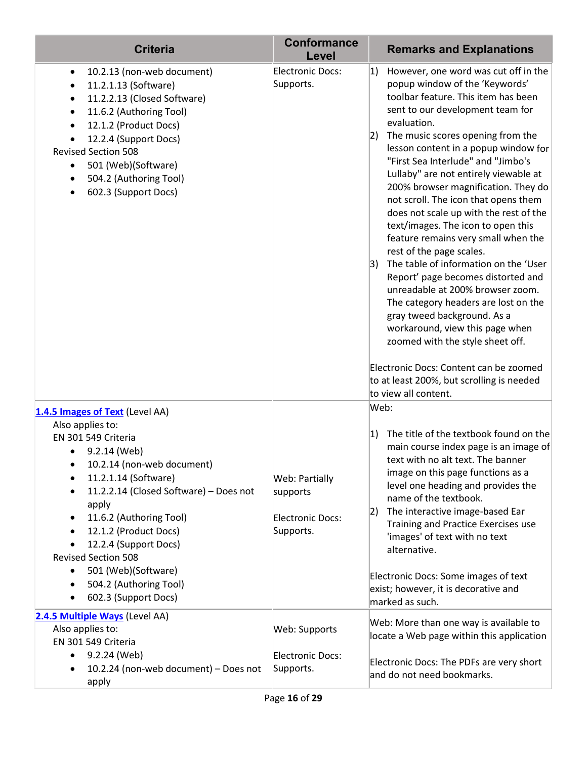| <b>Criteria</b>                                                                                                                                                                                                                                                                                                                                                                                                                                               | <b>Conformance</b><br>Level                                 | <b>Remarks and Explanations</b>                                                                                                                                                                                                                                                                                                                                                                                                                                                                                                                                                                                                                                                                                                                                                                                                                                                               |
|---------------------------------------------------------------------------------------------------------------------------------------------------------------------------------------------------------------------------------------------------------------------------------------------------------------------------------------------------------------------------------------------------------------------------------------------------------------|-------------------------------------------------------------|-----------------------------------------------------------------------------------------------------------------------------------------------------------------------------------------------------------------------------------------------------------------------------------------------------------------------------------------------------------------------------------------------------------------------------------------------------------------------------------------------------------------------------------------------------------------------------------------------------------------------------------------------------------------------------------------------------------------------------------------------------------------------------------------------------------------------------------------------------------------------------------------------|
| 10.2.13 (non-web document)<br>$\bullet$<br>11.2.1.13 (Software)<br>11.2.2.13 (Closed Software)<br>$\bullet$<br>11.6.2 (Authoring Tool)<br>$\bullet$<br>12.1.2 (Product Docs)<br>12.2.4 (Support Docs)<br><b>Revised Section 508</b><br>501 (Web)(Software)<br>$\bullet$<br>504.2 (Authoring Tool)<br>602.3 (Support Docs)<br>$\bullet$                                                                                                                        | Electronic Docs:<br>Supports.                               | However, one word was cut off in the<br> 1)<br>popup window of the 'Keywords'<br>toolbar feature. This item has been<br>sent to our development team for<br>evaluation.<br>The music scores opening from the<br> 2)<br>lesson content in a popup window for<br>"First Sea Interlude" and "Jimbo's<br>Lullaby" are not entirely viewable at<br>200% browser magnification. They do<br>not scroll. The icon that opens them<br>does not scale up with the rest of the<br>text/images. The icon to open this<br>feature remains very small when the<br>rest of the page scales.<br>The table of information on the 'User<br>3)<br>Report' page becomes distorted and<br>unreadable at 200% browser zoom.<br>The category headers are lost on the<br>gray tweed background. As a<br>workaround, view this page when<br>zoomed with the style sheet off.<br>Electronic Docs: Content can be zoomed |
|                                                                                                                                                                                                                                                                                                                                                                                                                                                               |                                                             | to at least 200%, but scrolling is needed<br>to view all content.                                                                                                                                                                                                                                                                                                                                                                                                                                                                                                                                                                                                                                                                                                                                                                                                                             |
| 1.4.5 Images of Text (Level AA)<br>Also applies to:<br>EN 301 549 Criteria<br>9.2.14 (Web)<br>$\bullet$<br>10.2.14 (non-web document)<br>11.2.1.14 (Software)<br>$\bullet$<br>11.2.2.14 (Closed Software) - Does not<br>$\bullet$<br>apply<br>11.6.2 (Authoring Tool)<br>٠<br>12.1.2 (Product Docs)<br>12.2.4 (Support Docs)<br><b>Revised Section 508</b><br>501 (Web)(Software)<br>$\bullet$<br>504.2 (Authoring Tool)<br>602.3 (Support Docs)<br>$\bullet$ | Web: Partially<br>supports<br>Electronic Docs:<br>Supports. | Web:<br>The title of the textbook found on the<br>1)<br>main course index page is an image of<br>text with no alt text. The banner<br>image on this page functions as a<br>level one heading and provides the<br>name of the textbook.<br>The interactive image-based Ear<br> 2)<br>Training and Practice Exercises use<br>'images' of text with no text<br>alternative.<br>Electronic Docs: Some images of text<br>exist; however, it is decorative and<br>marked as such.                                                                                                                                                                                                                                                                                                                                                                                                                   |
| 2.4.5 Multiple Ways (Level AA)<br>Also applies to:<br>EN 301 549 Criteria<br>9.2.24 (Web)<br>$\bullet$<br>10.2.24 (non-web document) - Does not<br>apply                                                                                                                                                                                                                                                                                                      | Web: Supports<br>Electronic Docs:<br>Supports.              | Web: More than one way is available to<br>locate a Web page within this application<br>Electronic Docs: The PDFs are very short<br>and do not need bookmarks.                                                                                                                                                                                                                                                                                                                                                                                                                                                                                                                                                                                                                                                                                                                                 |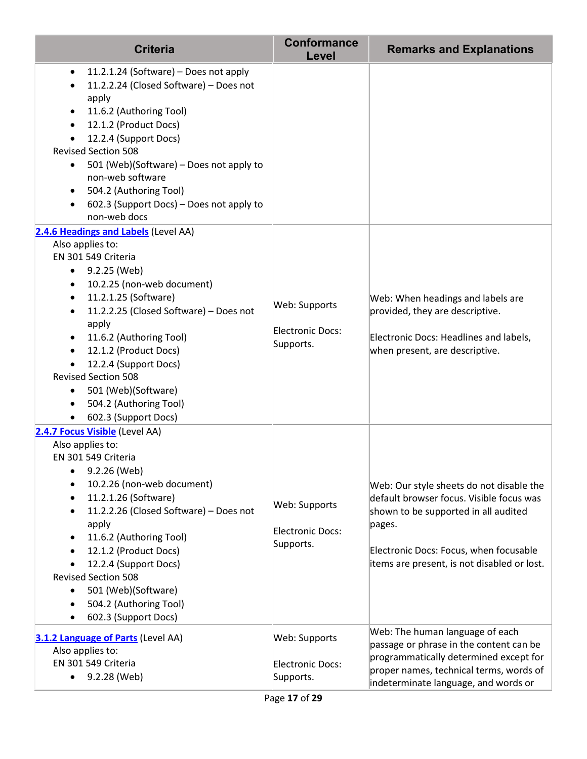| <b>Criteria</b>                                                                                                                                                                                                                                                                                                                                                                                                                                        | <b>Conformance</b><br>Level                           | <b>Remarks and Explanations</b>                                                                                                                                                                                                 |
|--------------------------------------------------------------------------------------------------------------------------------------------------------------------------------------------------------------------------------------------------------------------------------------------------------------------------------------------------------------------------------------------------------------------------------------------------------|-------------------------------------------------------|---------------------------------------------------------------------------------------------------------------------------------------------------------------------------------------------------------------------------------|
| 11.2.1.24 (Software) - Does not apply<br>$\bullet$<br>11.2.2.24 (Closed Software) - Does not<br>$\bullet$<br>apply<br>11.6.2 (Authoring Tool)<br>٠<br>12.1.2 (Product Docs)<br>$\bullet$<br>12.2.4 (Support Docs)<br><b>Revised Section 508</b><br>501 (Web)(Software) - Does not apply to<br>$\bullet$<br>non-web software<br>504.2 (Authoring Tool)<br>٠<br>602.3 (Support Docs) - Does not apply to<br>$\bullet$<br>non-web docs                    |                                                       |                                                                                                                                                                                                                                 |
| 2.4.6 Headings and Labels (Level AA)                                                                                                                                                                                                                                                                                                                                                                                                                   |                                                       |                                                                                                                                                                                                                                 |
| Also applies to:<br>EN 301 549 Criteria<br>$\bullet$ 9.2.25 (Web)<br>10.2.25 (non-web document)<br>$\bullet$<br>11.2.1.25 (Software)<br>$\bullet$<br>11.2.2.25 (Closed Software) - Does not<br>$\bullet$<br>apply<br>11.6.2 (Authoring Tool)<br>٠<br>12.1.2 (Product Docs)<br>12.2.4 (Support Docs)<br><b>Revised Section 508</b><br>501 (Web)(Software)<br>$\bullet$<br>504.2 (Authoring Tool)<br>$\bullet$<br>602.3 (Support Docs)<br>$\bullet$      | Web: Supports<br><b>Electronic Docs:</b><br>Supports. | Web: When headings and labels are<br>provided, they are descriptive.<br>Electronic Docs: Headlines and labels,<br>when present, are descriptive.                                                                                |
| 2.4.7 Focus Visible (Level AA)<br>Also applies to:<br>EN 301 549 Criteria<br>9.2.26 (Web)<br>٠<br>10.2.26 (non-web document)<br>11.2.1.26 (Software)<br>$\bullet$<br>11.2.2.26 (Closed Software) - Does not<br>$\bullet$<br>apply<br>11.6.2 (Authoring Tool)<br>٠<br>12.1.2 (Product Docs)<br>٠<br>12.2.4 (Support Docs)<br><b>Revised Section 508</b><br>501 (Web)(Software)<br>$\bullet$<br>504.2 (Authoring Tool)<br>٠<br>602.3 (Support Docs)<br>٠ | Web: Supports<br><b>Electronic Docs:</b><br>Supports. | Web: Our style sheets do not disable the<br>default browser focus. Visible focus was<br>shown to be supported in all audited<br>pages.<br>Electronic Docs: Focus, when focusable<br>items are present, is not disabled or lost. |
| 3.1.2 Language of Parts (Level AA)<br>Also applies to:<br>EN 301 549 Criteria<br>9.2.28 (Web)                                                                                                                                                                                                                                                                                                                                                          | Web: Supports<br><b>Electronic Docs:</b><br>Supports. | Web: The human language of each<br>passage or phrase in the content can be<br>programmatically determined except for<br>proper names, technical terms, words of<br>indeterminate language, and words or                         |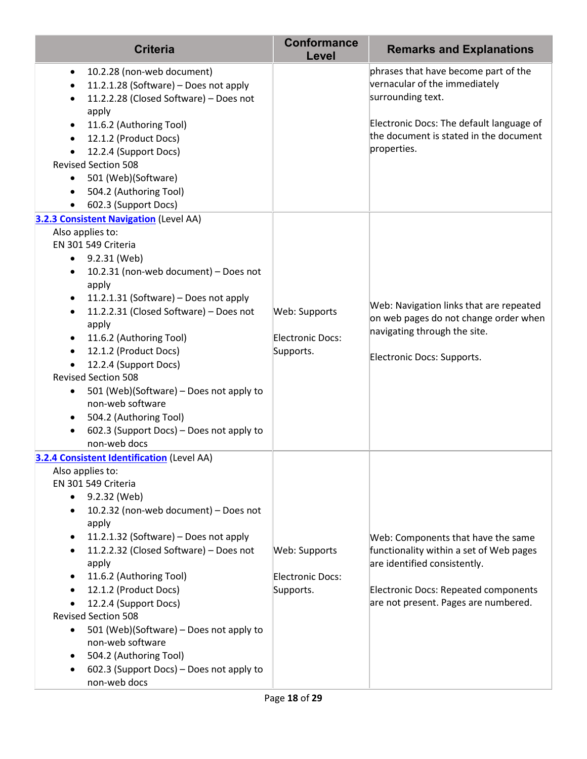| <b>Criteria</b>                                                                                                                                                                                                                                                                                                                                                                                                                                                                                                                                                                                                 | <b>Conformance</b><br>Level                           | <b>Remarks and Explanations</b>                                                                                                                                                                      |
|-----------------------------------------------------------------------------------------------------------------------------------------------------------------------------------------------------------------------------------------------------------------------------------------------------------------------------------------------------------------------------------------------------------------------------------------------------------------------------------------------------------------------------------------------------------------------------------------------------------------|-------------------------------------------------------|------------------------------------------------------------------------------------------------------------------------------------------------------------------------------------------------------|
| 10.2.28 (non-web document)<br>$\bullet$<br>11.2.1.28 (Software) - Does not apply<br>$\bullet$<br>11.2.2.28 (Closed Software) - Does not<br>$\bullet$<br>apply<br>11.6.2 (Authoring Tool)<br>$\bullet$<br>12.1.2 (Product Docs)<br>$\bullet$<br>12.2.4 (Support Docs)<br>$\bullet$<br><b>Revised Section 508</b><br>501 (Web)(Software)<br>504.2 (Authoring Tool)<br>$\bullet$<br>602.3 (Support Docs)<br>$\bullet$                                                                                                                                                                                              |                                                       | phrases that have become part of the<br>vernacular of the immediately<br>surrounding text.<br>Electronic Docs: The default language of<br>the document is stated in the document<br>properties.      |
| 3.2.3 Consistent Navigation (Level AA)<br>Also applies to:<br>EN 301 549 Criteria<br>9.2.31 (Web)<br>٠<br>10.2.31 (non-web document) - Does not<br>$\bullet$<br>apply<br>11.2.1.31 (Software) - Does not apply<br>$\bullet$<br>11.2.2.31 (Closed Software) - Does not<br>$\bullet$<br>apply<br>11.6.2 (Authoring Tool)<br>$\bullet$<br>12.1.2 (Product Docs)<br>$\bullet$<br>12.2.4 (Support Docs)<br><b>Revised Section 508</b><br>501 (Web)(Software) - Does not apply to<br>$\bullet$<br>non-web software<br>504.2 (Authoring Tool)<br>$\bullet$<br>602.3 (Support Docs) – Does not apply to<br>non-web docs | Web: Supports<br><b>Electronic Docs:</b><br>Supports. | Web: Navigation links that are repeated<br>on web pages do not change order when<br>navigating through the site.<br>Electronic Docs: Supports.                                                       |
| <b>3.2.4 Consistent Identification (Level AA)</b><br>Also applies to:<br>EN 301 549 Criteria<br>9.2.32 (Web)<br>٠<br>10.2.32 (non-web document) - Does not<br>$\bullet$<br>apply<br>11.2.1.32 (Software) - Does not apply<br>٠<br>11.2.2.32 (Closed Software) - Does not<br>$\bullet$<br>apply<br>11.6.2 (Authoring Tool)<br>$\bullet$<br>12.1.2 (Product Docs)<br>$\bullet$<br>12.2.4 (Support Docs)<br><b>Revised Section 508</b><br>501 (Web)(Software) - Does not apply to<br>$\bullet$<br>non-web software<br>504.2 (Authoring Tool)<br>٠<br>602.3 (Support Docs) - Does not apply to<br>٠<br>non-web docs | Web: Supports<br><b>Electronic Docs:</b><br>Supports. | Web: Components that have the same<br>functionality within a set of Web pages<br>are identified consistently.<br><b>Electronic Docs: Repeated components</b><br>are not present. Pages are numbered. |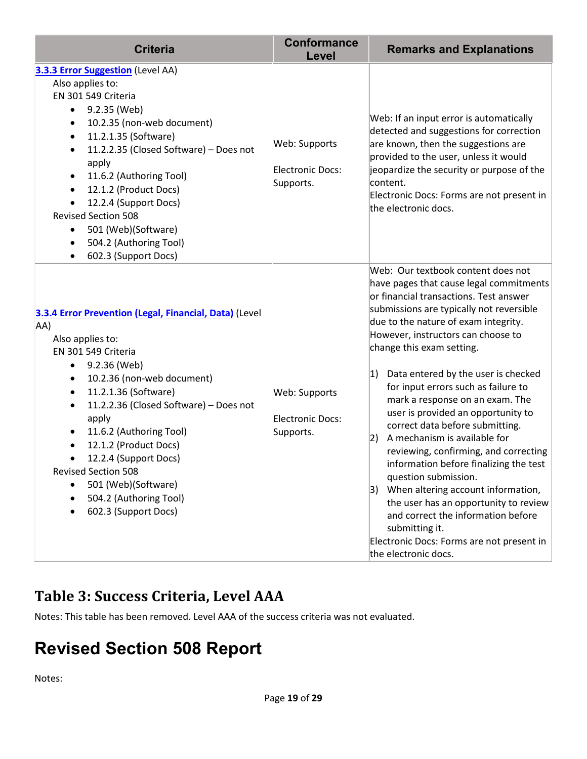| <b>Criteria</b>                                                                                                                                                                                                                                                                                                                                                                                                                                 | <b>Conformance</b><br>Level                           | <b>Remarks and Explanations</b>                                                                                                                                                                                                                                                                                                                                                                                                                                                                                                                                                                                                                                                                                                                                                                                                                  |
|-------------------------------------------------------------------------------------------------------------------------------------------------------------------------------------------------------------------------------------------------------------------------------------------------------------------------------------------------------------------------------------------------------------------------------------------------|-------------------------------------------------------|--------------------------------------------------------------------------------------------------------------------------------------------------------------------------------------------------------------------------------------------------------------------------------------------------------------------------------------------------------------------------------------------------------------------------------------------------------------------------------------------------------------------------------------------------------------------------------------------------------------------------------------------------------------------------------------------------------------------------------------------------------------------------------------------------------------------------------------------------|
| 3.3.3 Error Suggestion (Level AA)<br>Also applies to:<br>EN 301 549 Criteria<br>9.2.35 (Web)<br>$\bullet$<br>10.2.35 (non-web document)<br>11.2.1.35 (Software)<br>$\bullet$<br>11.2.2.35 (Closed Software) - Does not<br>apply<br>11.6.2 (Authoring Tool)<br>12.1.2 (Product Docs)<br>12.2.4 (Support Docs)<br><b>Revised Section 508</b><br>501 (Web)(Software)<br>504.2 (Authoring Tool)<br>602.3 (Support Docs)                             | Web: Supports<br><b>Electronic Docs:</b><br>Supports. | Web: If an input error is automatically<br>detected and suggestions for correction<br>are known, then the suggestions are<br>provided to the user, unless it would<br>jeopardize the security or purpose of the<br>content.<br>Electronic Docs: Forms are not present in<br>the electronic docs.                                                                                                                                                                                                                                                                                                                                                                                                                                                                                                                                                 |
| 3.3.4 Error Prevention (Legal, Financial, Data) (Level<br>AA)<br>Also applies to:<br>EN 301 549 Criteria<br>9.2.36 (Web)<br>$\bullet$<br>10.2.36 (non-web document)<br>$\bullet$<br>11.2.1.36 (Software)<br>11.2.2.36 (Closed Software) - Does not<br>apply<br>11.6.2 (Authoring Tool)<br>12.1.2 (Product Docs)<br>12.2.4 (Support Docs)<br><b>Revised Section 508</b><br>501 (Web)(Software)<br>504.2 (Authoring Tool)<br>602.3 (Support Docs) | Web: Supports<br><b>Electronic Docs:</b><br>Supports. | Web: Our textbook content does not<br>have pages that cause legal commitments<br>or financial transactions. Test answer<br>submissions are typically not reversible<br>due to the nature of exam integrity.<br>However, instructors can choose to<br>change this exam setting.<br>Data entered by the user is checked<br> 1)<br>for input errors such as failure to<br>mark a response on an exam. The<br>user is provided an opportunity to<br>correct data before submitting.<br>A mechanism is available for<br> 2)<br>reviewing, confirming, and correcting<br>information before finalizing the test<br>question submission.<br>3) When altering account information,<br>the user has an opportunity to review<br>and correct the information before<br>submitting it.<br>Electronic Docs: Forms are not present in<br>the electronic docs. |

#### **Table 3: Success Criteria, Level AAA**

Notes: This table has been removed. Level AAA of the success criteria was not evaluated.

# **Revised Section 508 Report**

Notes: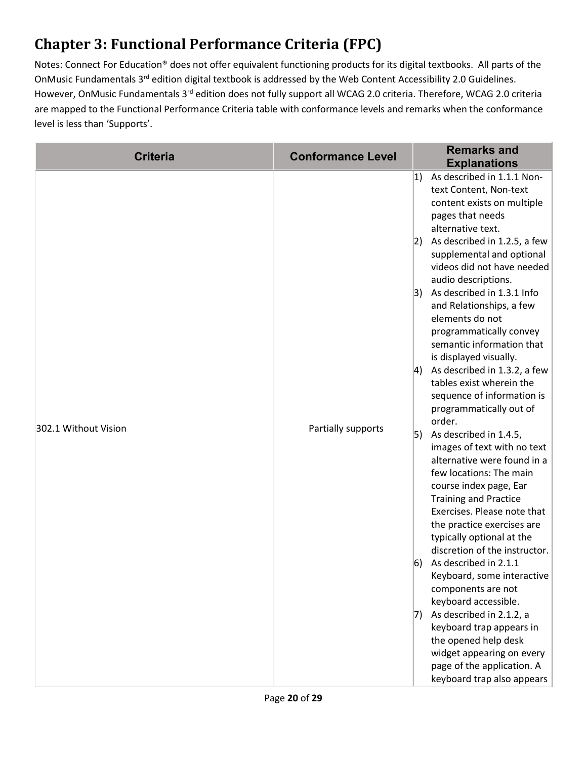# **Chapter 3: Functional Performance Criteria (FPC)**

Notes: Connect For Education® does not offer equivalent functioning products for its digital textbooks. All parts of the OnMusic Fundamentals 3rd edition digital textbook is addressed by the Web Content Accessibility 2.0 Guidelines. However, OnMusic Fundamentals 3<sup>rd</sup> edition does not fully support all WCAG 2.0 criteria. Therefore, WCAG 2.0 criteria are mapped to the Functional Performance Criteria table with conformance levels and remarks when the conformance level is less than 'Supports'.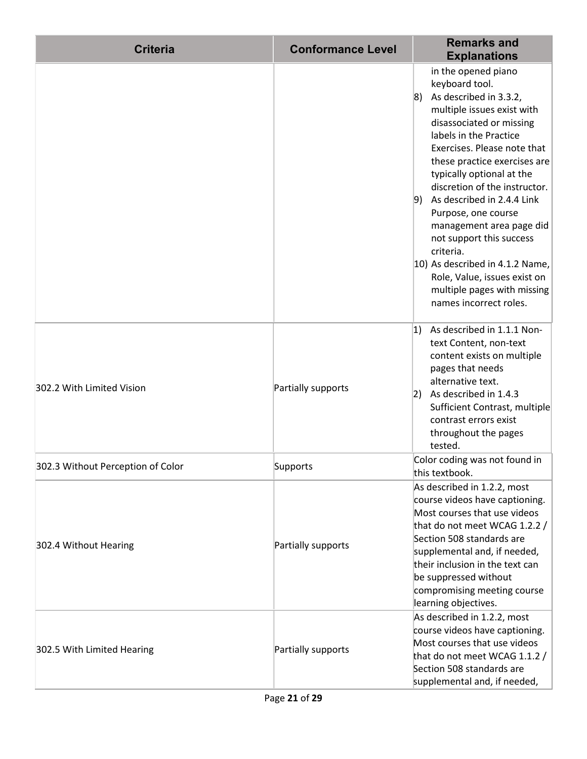| <b>Criteria</b>                   | <b>Conformance Level</b> | <b>Remarks and</b><br><b>Explanations</b>                                                                                                                                                                                                                                                                                                                                                                                                                                                                                                          |
|-----------------------------------|--------------------------|----------------------------------------------------------------------------------------------------------------------------------------------------------------------------------------------------------------------------------------------------------------------------------------------------------------------------------------------------------------------------------------------------------------------------------------------------------------------------------------------------------------------------------------------------|
|                                   |                          | in the opened piano<br>keyboard tool.<br>$ 8)$ As described in 3.3.2,<br>multiple issues exist with<br>disassociated or missing<br>labels in the Practice<br>Exercises. Please note that<br>these practice exercises are<br>typically optional at the<br>discretion of the instructor.<br>$ 9)$ As described in 2.4.4 Link<br>Purpose, one course<br>management area page did<br>not support this success<br>criteria.<br>10) As described in 4.1.2 Name,<br>Role, Value, issues exist on<br>multiple pages with missing<br>names incorrect roles. |
| 302.2 With Limited Vision         | Partially supports       | 1)<br>As described in 1.1.1 Non-<br>text Content, non-text<br>content exists on multiple<br>pages that needs<br>alternative text.<br>As described in 1.4.3<br> 2)<br>Sufficient Contrast, multiple<br>contrast errors exist<br>throughout the pages<br>tested.                                                                                                                                                                                                                                                                                     |
| 302.3 Without Perception of Color | Supports                 | Color coding was not found in<br>this textbook.                                                                                                                                                                                                                                                                                                                                                                                                                                                                                                    |
| 302.4 Without Hearing             | Partially supports       | As described in 1.2.2, most<br>course videos have captioning.<br>Most courses that use videos<br>that do not meet WCAG 1.2.2 /<br>Section 508 standards are<br>supplemental and, if needed,<br>their inclusion in the text can<br>be suppressed without<br>compromising meeting course<br>learning objectives.                                                                                                                                                                                                                                     |
| 302.5 With Limited Hearing        | Partially supports       | As described in 1.2.2, most<br>course videos have captioning.<br>Most courses that use videos<br>that do not meet WCAG 1.1.2 /<br>Section 508 standards are<br>supplemental and, if needed,                                                                                                                                                                                                                                                                                                                                                        |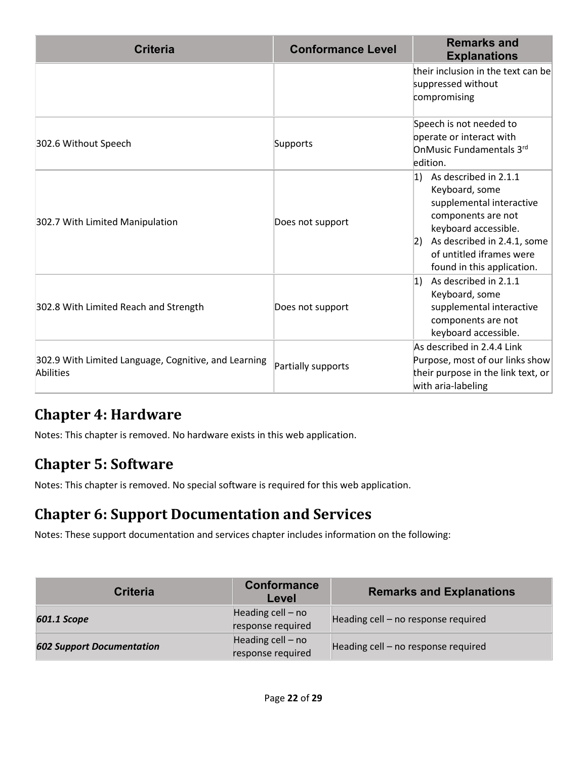| <b>Criteria</b>                                                          | <b>Conformance Level</b> | <b>Remarks and</b><br><b>Explanations</b>                                                                                                                                                                                     |
|--------------------------------------------------------------------------|--------------------------|-------------------------------------------------------------------------------------------------------------------------------------------------------------------------------------------------------------------------------|
|                                                                          |                          | their inclusion in the text can be<br>suppressed without<br>compromising                                                                                                                                                      |
| 302.6 Without Speech                                                     | Supports                 | Speech is not needed to<br>operate or interact with<br>OnMusic Fundamentals 3rd<br>edition.                                                                                                                                   |
| 302.7 With Limited Manipulation                                          | Does not support         | $ 1\rangle$ As described in 2.1.1<br>Keyboard, some<br>supplemental interactive<br>components are not<br>keyboard accessible.<br>As described in 2.4.1, some<br> 2)<br>of untitled iframes were<br>found in this application. |
| 302.8 With Limited Reach and Strength                                    | Does not support         | As described in 2.1.1<br> 1)<br>Keyboard, some<br>supplemental interactive<br>components are not<br>keyboard accessible.                                                                                                      |
| 302.9 With Limited Language, Cognitive, and Learning<br><b>Abilities</b> | Partially supports       | As described in 2.4.4 Link<br>Purpose, most of our links show<br>their purpose in the link text, or<br>with aria-labeling                                                                                                     |

#### **Chapter 4: Hardware**

Notes: This chapter is removed. No hardware exists in this web application.

#### **Chapter 5: Software**

Notes: This chapter is removed. No special software is required for this web application.

#### **Chapter 6: Support Documentation and Services**

Notes: These support documentation and services chapter includes information on the following:

| <b>Criteria</b>                  | <b>Conformance</b><br>Level              | <b>Remarks and Explanations</b>     |
|----------------------------------|------------------------------------------|-------------------------------------|
| 601.1 Scope                      | Heading $cell - no$<br>response required | Heading cell - no response required |
| <b>602 Support Documentation</b> | Heading $cell - no$<br>response required | Heading cell - no response required |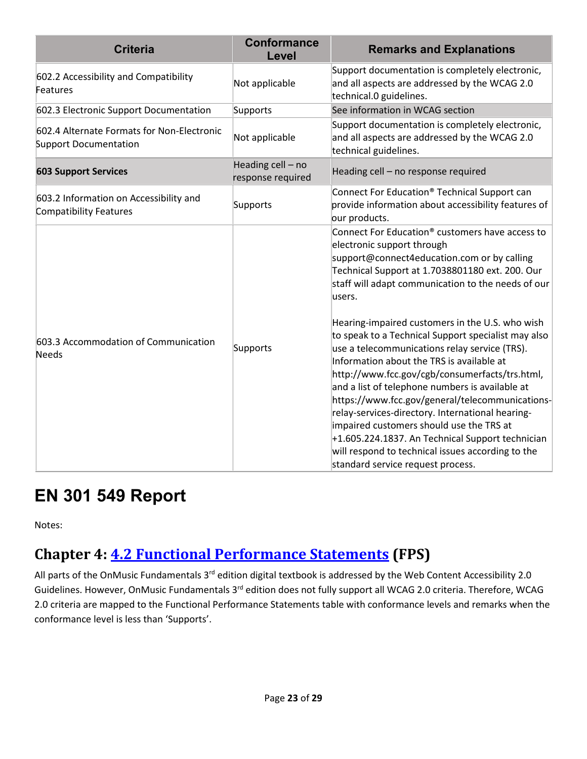| <b>Criteria</b>                                                            | <b>Conformance</b><br>Level            | <b>Remarks and Explanations</b>                                                                                                                                                                                                                                                                                                                                                                                                                                                                                                                                                                            |
|----------------------------------------------------------------------------|----------------------------------------|------------------------------------------------------------------------------------------------------------------------------------------------------------------------------------------------------------------------------------------------------------------------------------------------------------------------------------------------------------------------------------------------------------------------------------------------------------------------------------------------------------------------------------------------------------------------------------------------------------|
| 602.2 Accessibility and Compatibility<br>Features                          | Not applicable                         | Support documentation is completely electronic,<br>and all aspects are addressed by the WCAG 2.0<br>technical.0 guidelines.                                                                                                                                                                                                                                                                                                                                                                                                                                                                                |
| 602.3 Electronic Support Documentation                                     | Supports                               | See information in WCAG section                                                                                                                                                                                                                                                                                                                                                                                                                                                                                                                                                                            |
| 602.4 Alternate Formats for Non-Electronic<br><b>Support Documentation</b> | Not applicable                         | Support documentation is completely electronic,<br>and all aspects are addressed by the WCAG 2.0<br>technical guidelines.                                                                                                                                                                                                                                                                                                                                                                                                                                                                                  |
| <b>603 Support Services</b>                                                | Heading cell - no<br>response required | Heading cell - no response required                                                                                                                                                                                                                                                                                                                                                                                                                                                                                                                                                                        |
| 603.2 Information on Accessibility and<br><b>Compatibility Features</b>    | Supports                               | Connect For Education® Technical Support can<br>provide information about accessibility features of<br>our products.                                                                                                                                                                                                                                                                                                                                                                                                                                                                                       |
|                                                                            |                                        | Connect For Education® customers have access to<br>electronic support through<br>support@connect4education.com or by calling<br>Technical Support at 1.7038801180 ext. 200. Our<br>staff will adapt communication to the needs of our<br>users.                                                                                                                                                                                                                                                                                                                                                            |
| 603.3 Accommodation of Communication<br><b>Needs</b>                       | Supports                               | Hearing-impaired customers in the U.S. who wish<br>to speak to a Technical Support specialist may also<br>use a telecommunications relay service (TRS).<br>Information about the TRS is available at<br>http://www.fcc.gov/cgb/consumerfacts/trs.html,<br>and a list of telephone numbers is available at<br>https://www.fcc.gov/general/telecommunications-<br>relay-services-directory. International hearing-<br>impaired customers should use the TRS at<br>+1.605.224.1837. An Technical Support technician<br>will respond to technical issues according to the<br>standard service request process. |

# **EN 301 549 Report**

Notes:

### **Chapter 4: [4.2 Functional Performance Statements](http://www.etsi.org/deliver/etsi_en/301500_301599/301549/01.01.02_60/en_301549v010102p.pdf#page=22) (FPS)**

All parts of the OnMusic Fundamentals 3<sup>rd</sup> edition digital textbook is addressed by the Web Content Accessibility 2.0 Guidelines. However, OnMusic Fundamentals 3<sup>rd</sup> edition does not fully support all WCAG 2.0 criteria. Therefore, WCAG 2.0 criteria are mapped to the Functional Performance Statements table with conformance levels and remarks when the conformance level is less than 'Supports'.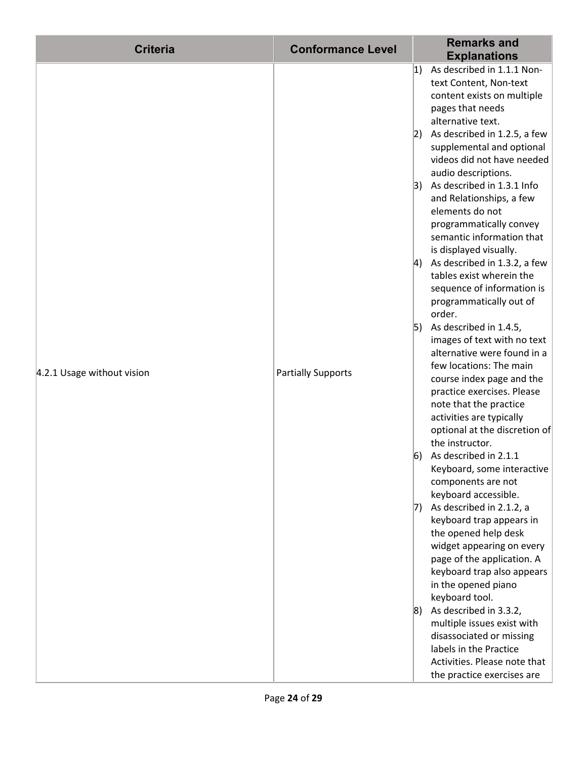| <b>Criteria</b>            | <b>Conformance Level</b>  |             | <b>Remarks and</b><br><b>Explanations</b>                                                                                                                         |
|----------------------------|---------------------------|-------------|-------------------------------------------------------------------------------------------------------------------------------------------------------------------|
|                            |                           | 1)          | As described in 1.1.1 Non-<br>text Content, Non-text<br>content exists on multiple                                                                                |
|                            |                           | 2)          | pages that needs<br>alternative text.<br>As described in 1.2.5, a few<br>supplemental and optional<br>videos did not have needed                                  |
|                            |                           | 3)          | audio descriptions.<br>As described in 1.3.1 Info<br>and Relationships, a few<br>elements do not                                                                  |
| 4.2.1 Usage without vision |                           |             | programmatically convey<br>semantic information that<br>is displayed visually.<br>4) As described in 1.3.2, a few                                                 |
|                            |                           |             | tables exist wherein the<br>sequence of information is<br>programmatically out of<br>order.                                                                       |
|                            | <b>Partially Supports</b> | 5)          | As described in 1.4.5,<br>images of text with no text<br>alternative were found in a<br>few locations: The main                                                   |
|                            |                           |             | course index page and the<br>practice exercises. Please<br>note that the practice<br>activities are typically<br>optional at the discretion of<br>the instructor. |
|                            |                           | 6)          | As described in 2.1.1<br>Keyboard, some interactive<br>components are not<br>keyboard accessible.                                                                 |
|                            |                           | 17)         | As described in 2.1.2, a<br>keyboard trap appears in<br>the opened help desk<br>widget appearing on every                                                         |
|                            |                           |             | page of the application. A<br>keyboard trap also appears<br>in the opened piano<br>keyboard tool.                                                                 |
|                            |                           | $ 8\rangle$ | As described in 3.3.2,<br>multiple issues exist with<br>disassociated or missing<br>labels in the Practice                                                        |
|                            |                           |             | Activities. Please note that<br>the practice exercises are                                                                                                        |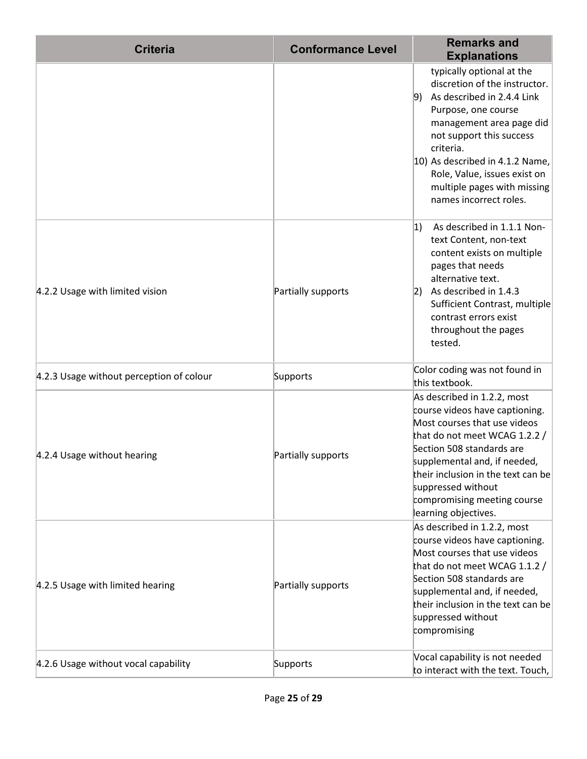| <b>Criteria</b>                          | <b>Conformance Level</b> | <b>Remarks and</b><br><b>Explanations</b>                                                                                                                                                                                                                                                                              |
|------------------------------------------|--------------------------|------------------------------------------------------------------------------------------------------------------------------------------------------------------------------------------------------------------------------------------------------------------------------------------------------------------------|
|                                          |                          | typically optional at the<br>discretion of the instructor.<br>As described in 2.4.4 Link<br>9)<br>Purpose, one course<br>management area page did<br>not support this success<br>criteria.<br>10) As described in 4.1.2 Name,<br>Role, Value, issues exist on<br>multiple pages with missing<br>names incorrect roles. |
| 4.2.2 Usage with limited vision          | Partially supports       | 1)<br>As described in 1.1.1 Non-<br>text Content, non-text<br>content exists on multiple<br>pages that needs<br>alternative text.<br>As described in 1.4.3<br> 2)<br>Sufficient Contrast, multiple<br>contrast errors exist<br>throughout the pages<br>tested.                                                         |
| 4.2.3 Usage without perception of colour | Supports                 | Color coding was not found in<br>this textbook.                                                                                                                                                                                                                                                                        |
| 4.2.4 Usage without hearing              | Partially supports       | As described in 1.2.2, most<br>course videos have captioning.<br>Most courses that use videos<br>that do not meet WCAG 1.2.2 /<br>Section 508 standards are<br>supplemental and, if needed,<br>their inclusion in the text can be<br>suppressed without<br>compromising meeting course<br>learning objectives.         |
| 4.2.5 Usage with limited hearing         | Partially supports       | As described in 1.2.2, most<br>course videos have captioning.<br>Most courses that use videos<br>that do not meet WCAG 1.1.2 /<br>Section 508 standards are<br>supplemental and, if needed,<br>their inclusion in the text can be<br>suppressed without<br>compromising                                                |
| 4.2.6 Usage without vocal capability     | Supports                 | Vocal capability is not needed<br>to interact with the text. Touch,                                                                                                                                                                                                                                                    |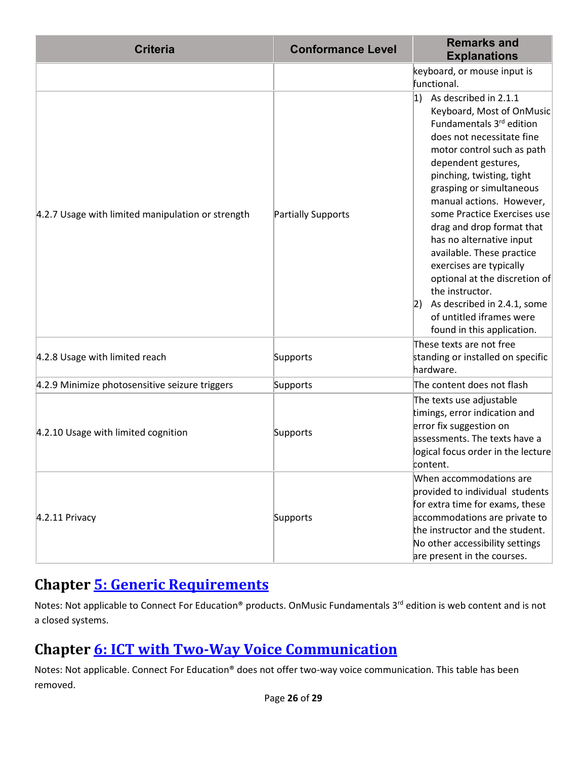| <b>Criteria</b>                                   | <b>Conformance Level</b> | <b>Remarks and</b><br><b>Explanations</b>                                                                                                                                                                                                                                                                                                                                                                                                                                                                                                                        |
|---------------------------------------------------|--------------------------|------------------------------------------------------------------------------------------------------------------------------------------------------------------------------------------------------------------------------------------------------------------------------------------------------------------------------------------------------------------------------------------------------------------------------------------------------------------------------------------------------------------------------------------------------------------|
|                                                   |                          | keyboard, or mouse input is<br>functional.                                                                                                                                                                                                                                                                                                                                                                                                                                                                                                                       |
| 4.2.7 Usage with limited manipulation or strength | Partially Supports       | As described in 2.1.1<br> 1)<br>Keyboard, Most of OnMusic<br>Fundamentals 3rd edition<br>does not necessitate fine<br>motor control such as path<br>dependent gestures,<br>pinching, twisting, tight<br>grasping or simultaneous<br>manual actions. However,<br>some Practice Exercises use<br>drag and drop format that<br>has no alternative input<br>available. These practice<br>exercises are typically<br>optional at the discretion of<br>the instructor.<br>As described in 2.4.1, some<br> 2)<br>of untitled iframes were<br>found in this application. |
| 4.2.8 Usage with limited reach                    | Supports                 | These texts are not free<br>standing or installed on specific<br>hardware.                                                                                                                                                                                                                                                                                                                                                                                                                                                                                       |
| 4.2.9 Minimize photosensitive seizure triggers    | Supports                 | The content does not flash                                                                                                                                                                                                                                                                                                                                                                                                                                                                                                                                       |
| 4.2.10 Usage with limited cognition               | Supports                 | The texts use adjustable<br>timings, error indication and<br>error fix suggestion on<br>assessments. The texts have a<br>logical focus order in the lecture<br>content.                                                                                                                                                                                                                                                                                                                                                                                          |
| $4.2.11$ Privacy                                  | Supports                 | When accommodations are<br>provided to individual students<br>for extra time for exams, these<br>accommodations are private to<br>the instructor and the student.<br>No other accessibility settings<br>are present in the courses.                                                                                                                                                                                                                                                                                                                              |

#### **Chapter [5: Generic Requirements](http://www.etsi.org/deliver/etsi_en/301500_301599/301549/01.01.02_60/en_301549v010102p.pdf#page=23)**

Notes: Not applicable to Connect For Education® products. OnMusic Fundamentals 3<sup>rd</sup> edition is web content and is not a closed systems.

### **Chapter [6: ICT with Two-Way Voice Communication](http://www.etsi.org/deliver/etsi_en/301500_301599/301549/01.01.02_60/en_301549v010102p.pdf#page=28)**

Notes: Not applicable. Connect For Education® does not offer two-way voice communication. This table has been removed.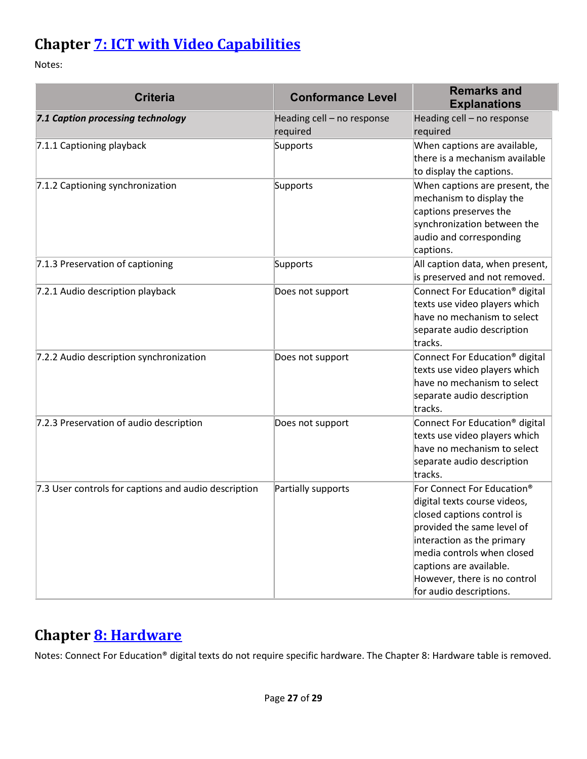### **Chapter [7: ICT with Video Capabilities](http://www.etsi.org/deliver/etsi_en/301500_301599/301549/01.01.02_60/en_301549v010102p.pdf#page=31)**

Notes:

| <b>Criteria</b>                                      | <b>Conformance Level</b>               | <b>Remarks and</b><br><b>Explanations</b>                                                                                                                                                                                                                                            |
|------------------------------------------------------|----------------------------------------|--------------------------------------------------------------------------------------------------------------------------------------------------------------------------------------------------------------------------------------------------------------------------------------|
| 7.1 Caption processing technology                    | Heading cell - no response<br>required | Heading cell - no response<br>required                                                                                                                                                                                                                                               |
| 7.1.1 Captioning playback                            | Supports                               | When captions are available,<br>there is a mechanism available<br>to display the captions.                                                                                                                                                                                           |
| 7.1.2 Captioning synchronization                     | Supports                               | When captions are present, the<br>mechanism to display the<br>captions preserves the<br>synchronization between the<br>audio and corresponding<br>captions.                                                                                                                          |
| 7.1.3 Preservation of captioning                     | Supports                               | All caption data, when present,<br>is preserved and not removed.                                                                                                                                                                                                                     |
| 7.2.1 Audio description playback                     | Does not support                       | Connect For Education <sup>®</sup> digital<br>texts use video players which<br>have no mechanism to select<br>separate audio description<br>tracks.                                                                                                                                  |
| 7.2.2 Audio description synchronization              | Does not support                       | Connect For Education <sup>®</sup> digital<br>texts use video players which<br>have no mechanism to select<br>separate audio description<br>tracks.                                                                                                                                  |
| 7.2.3 Preservation of audio description              | Does not support                       | Connect For Education <sup>®</sup> digital<br>texts use video players which<br>have no mechanism to select<br>separate audio description<br>tracks.                                                                                                                                  |
| 7.3 User controls for captions and audio description | Partially supports                     | For Connect For Education <sup>®</sup><br>digital texts course videos,<br>closed captions control is<br>provided the same level of<br>interaction as the primary<br>media controls when closed<br>captions are available.<br>However, there is no control<br>for audio descriptions. |

#### **Chapter [8: Hardware](http://www.etsi.org/deliver/etsi_en/301500_301599/301549/01.01.02_60/en_301549v010102p.pdf#page=32)**

Notes: Connect For Education® digital texts do not require specific hardware. The Chapter 8: Hardware table is removed.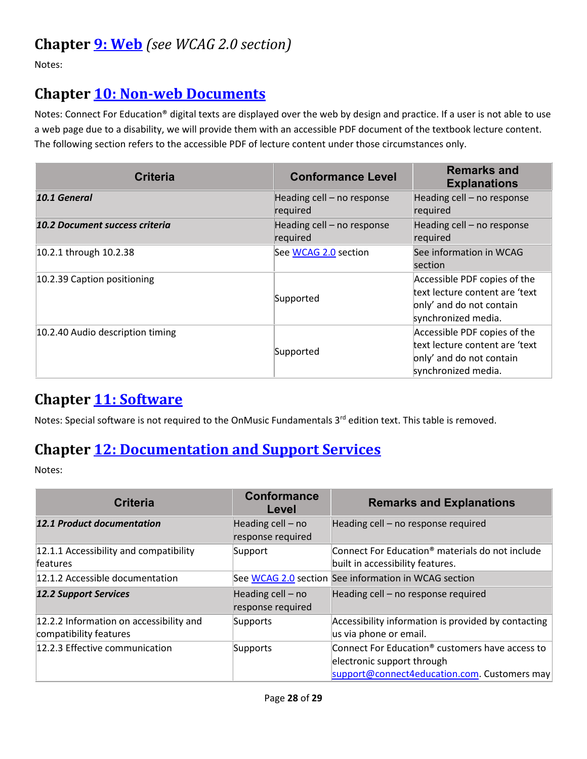#### **Chapter [9: Web](http://www.etsi.org/deliver/etsi_en/301500_301599/301549/01.01.02_60/en_301549v010102p.pdf#page=39)** *(see WCAG 2.0 section)*

Notes:

#### **Chapter [10: Non-web Documents](http://www.etsi.org/deliver/etsi_en/301500_301599/301549/01.01.02_60/en_301549v010102p.pdf#page=43)**

Notes: Connect For Education® digital texts are displayed over the web by design and practice. If a user is not able to use a web page due to a disability, we will provide them with an accessible PDF document of the textbook lecture content. The following section refers to the accessible PDF of lecture content under those circumstances only.

| <b>Criteria</b>                       | <b>Conformance Level</b>               | <b>Remarks and</b><br><b>Explanations</b>                                                                         |
|---------------------------------------|----------------------------------------|-------------------------------------------------------------------------------------------------------------------|
| 10.1 General                          | Heading cell - no response<br>required | Heading cell - no response<br>required                                                                            |
| <b>10.2 Document success criteria</b> | Heading cell - no response<br>required | Heading cell - no response<br>required                                                                            |
| 10.2.1 through 10.2.38                | See WCAG 2.0 section                   | See information in WCAG<br>section                                                                                |
| 10.2.39 Caption positioning           | Supported                              | Accessible PDF copies of the<br>text lecture content are 'text<br>only' and do not contain<br>synchronized media. |
| 10.2.40 Audio description timing      | Supported                              | Accessible PDF copies of the<br>text lecture content are 'text<br>only' and do not contain<br>synchronized media. |

#### **Chapter [11: Software](http://www.etsi.org/deliver/etsi_en/301500_301599/301549/01.01.02_60/en_301549v010102p.pdf#page=53)**

Notes: Special software is not required to the OnMusic Fundamentals 3<sup>rd</sup> edition text. This table is removed.

#### **Chapter [12: Documentation and Support Services](http://www.etsi.org/deliver/etsi_en/301500_301599/301549/01.01.02_60/en_301549v010102p.pdf#page=73)**

Notes:

| <b>Criteria</b>                                                   | <b>Conformance</b><br>Level            | <b>Remarks and Explanations</b>                                                                                                           |
|-------------------------------------------------------------------|----------------------------------------|-------------------------------------------------------------------------------------------------------------------------------------------|
| <b>12.1 Product documentation</b>                                 | Heading cell - no<br>response required | Heading cell - no response required                                                                                                       |
| 12.1.1 Accessibility and compatibility<br><b>features</b>         | Support                                | Connect For Education® materials do not include<br>built in accessibility features.                                                       |
| 12.1.2 Accessible documentation                                   |                                        | See WCAG 2.0 section See information in WCAG section                                                                                      |
| <b>12.2 Support Services</b>                                      | Heading cell - no<br>response required | Heading cell – no response required                                                                                                       |
| 12.2.2 Information on accessibility and<br>compatibility features | Supports                               | Accessibility information is provided by contacting<br>us via phone or email.                                                             |
| 12.2.3 Effective communication                                    | Supports                               | Connect For Education <sup>®</sup> customers have access to<br>electronic support through<br>support@connect4education.com. Customers may |